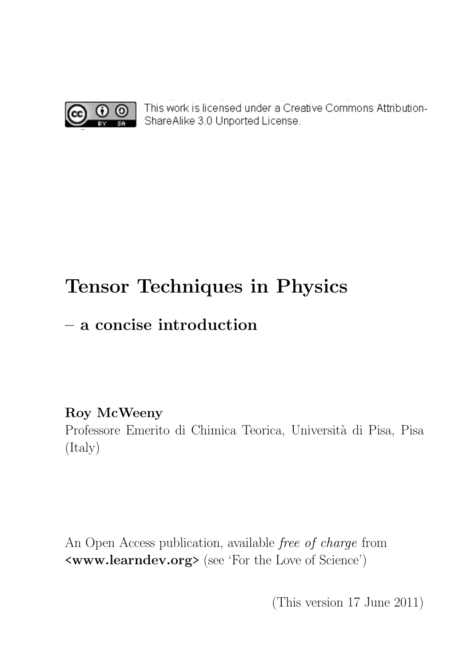

 $\bigcirc$   $\bigcirc$  This work is licensed under a Creative Commons Attribution-ShareAlike 3.0 Unported License.

# Tensor Techniques in Physics

# – a concise introduction

## Roy McWeeny

Professore Emerito di Chimica Teorica, Università di Pisa, Pisa (Italy)

An Open Access publication, available free of charge from <www.learndev.org> (see 'For the Love of Science')

(This version 17 June 2011)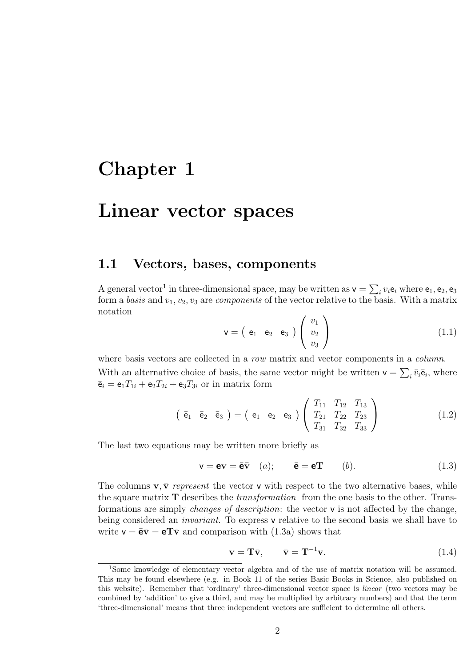# Chapter 1

## Linear vector spaces

#### 1.1 Vectors, bases, components

A general vector<sup>1</sup> in three-dimensional space, may be written as  $\mathsf{v} = \sum_i v_i \mathsf{e}_i$  where  $\mathsf{e}_1, \mathsf{e}_2, \mathsf{e}_3$ form a basis and  $v_1, v_2, v_3$  are *components* of the vector relative to the basis. With a matrix notation

$$
\mathbf{v} = \begin{pmatrix} e_1 & e_2 & e_3 \end{pmatrix} \begin{pmatrix} v_1 \\ v_2 \\ v_3 \end{pmatrix}
$$
 (1.1)

where basis vectors are collected in a row matrix and vector components in a *column*. With an alternative choice of basis, the same vector might be written  $\mathbf{v} = \sum_i \bar{v}_i \bar{\mathbf{e}}_i$ , where  $\bar{\mathbf{e}}_i = \mathbf{e}_1 T_{1i} + \mathbf{e}_2 T_{2i} + \mathbf{e}_3 T_{3i}$  or in matrix form

$$
\left(\begin{array}{cc}\n\overline{e}_1 & \overline{e}_2 & \overline{e}_3\n\end{array}\right) = \left(\begin{array}{cc}\ne_1 & e_2 & e_3\n\end{array}\right) \left(\begin{array}{ccc}\nT_{11} & T_{12} & T_{13} \\
T_{21} & T_{22} & T_{23} \\
T_{31} & T_{32} & T_{33}\n\end{array}\right) \n\tag{1.2}
$$

The last two equations may be written more briefly as

$$
\mathbf{v} = \mathbf{e}\mathbf{v} = \bar{\mathbf{e}}\bar{\mathbf{v}} \quad (a); \qquad \bar{\mathbf{e}} = \mathbf{e}\mathbf{T} \qquad (b). \tag{1.3}
$$

The columns  $\mathbf{v}, \bar{\mathbf{v}}$  represent the vector  $\mathbf{v}$  with respect to the two alternative bases, while the square matrix  $T$  describes the *transformation* from the one basis to the other. Transformations are simply changes of description: the vector v is not affected by the change, being considered an *invariant*. To express v relative to the second basis we shall have to write  $\mathbf{v} = \mathbf{e} \mathbf{\bar{v}} = \mathbf{e} \mathbf{T} \mathbf{\bar{v}}$  and comparison with (1.3a) shows that

$$
\mathbf{v} = \mathbf{T}\bar{\mathbf{v}}, \qquad \bar{\mathbf{v}} = \mathbf{T}^{-1}\mathbf{v}.
$$
 (1.4)

<sup>1</sup>Some knowledge of elementary vector algebra and of the use of matrix notation will be assumed. This may be found elsewhere (e.g. in Book 11 of the series Basic Books in Science, also published on this website). Remember that 'ordinary' three-dimensional vector space is linear (two vectors may be combined by 'addition' to give a third, and may be multiplied by arbitrary numbers) and that the term 'three-dimensional' means that three independent vectors are sufficient to determine all others.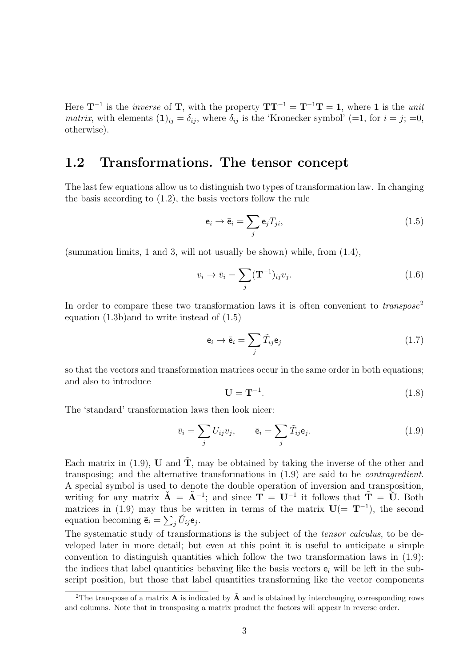Here  $T^{-1}$  is the *inverse* of T, with the property  $TT^{-1} = T^{-1}T = 1$ , where 1 is the *unit* matrix, with elements  $(1)_{ij} = \delta_{ij}$ , where  $\delta_{ij}$  is the 'Kronecker symbol' (=1, for  $i = j$ ; =0, otherwise).

### 1.2 Transformations. The tensor concept

The last few equations allow us to distinguish two types of transformation law. In changing the basis according to (1.2), the basis vectors follow the rule

$$
\mathbf{e}_i \to \bar{\mathbf{e}}_i = \sum_j \mathbf{e}_j T_{ji},\tag{1.5}
$$

(summation limits, 1 and 3, will not usually be shown) while, from  $(1.4)$ ,

$$
v_i \to \bar{v}_i = \sum_j (\mathbf{T}^{-1})_{ij} v_j.
$$
\n(1.6)

In order to compare these two transformation laws it is often convenient to  $transpose<sup>2</sup>$ equation (1.3b)and to write instead of (1.5)

$$
\mathbf{e}_i \to \bar{\mathbf{e}}_i = \sum_j \tilde{T}_{ij} \mathbf{e}_j \tag{1.7}
$$

so that the vectors and transformation matrices occur in the same order in both equations; and also to introduce

$$
\mathbf{U} = \mathbf{T}^{-1}.\tag{1.8}
$$

The 'standard' transformation laws then look nicer:

$$
\bar{v}_i = \sum_j U_{ij} v_j, \qquad \bar{\mathbf{e}}_i = \sum_j \tilde{T}_{ij} \mathbf{e}_j. \tag{1.9}
$$

Each matrix in (1.9), U and  $\tilde{T}$ , may be obtained by taking the inverse of the other and transposing; and the alternative transformations in (1.9) are said to be contragredient. A special symbol is used to denote the double operation of inversion and transposition, writing for any matrix  $\mathbf{A} = \tilde{\mathbf{A}}^{-1}$ ; and since  $\mathbf{T} = \mathbf{U}^{-1}$  it follows that  $\tilde{\mathbf{T}} = \tilde{\mathbf{U}}$ . Both matrices in (1.9) may thus be written in terms of the matrix  $\mathbf{U} (= \mathbf{T}^{-1})$ , the second equation becoming  $\bar{\mathbf{e}}_i = \sum_j \breve{U}_{ij} \mathbf{e}_j$ .

The systematic study of transformations is the subject of the *tensor calculus*, to be developed later in more detail; but even at this point it is useful to anticipate a simple convention to distinguish quantities which follow the two transformation laws in (1.9): the indices that label quantities behaving like the basis vectors  $e_i$  will be left in the subscript position, but those that label quantities transforming like the vector components

<sup>&</sup>lt;sup>2</sup>The transpose of a matrix **A** is indicated by  $\tilde{A}$  and is obtained by interchanging corresponding rows and columns. Note that in transposing a matrix product the factors will appear in reverse order.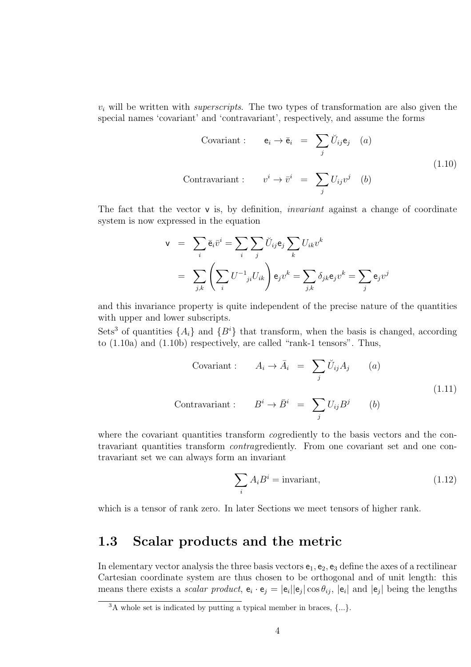$v_i$  will be written with *superscripts*. The two types of transformation are also given the special names 'covariant' and 'contravariant', respectively, and assume the forms

Covariant : 
$$
\mathbf{e}_i \to \bar{\mathbf{e}}_i = \sum_j \breve{U}_{ij} \mathbf{e}_j
$$
 (a)  
Contravariant :  $v^i \to \bar{v}^i = \sum_j U_{ij} v^j$  (b) (1.10)

The fact that the vector **v** is, by definition, *invariant* against a change of coordinate system is now expressed in the equation

$$
\mathbf{v} = \sum_{i} \bar{\mathbf{e}}_{i} \bar{v}^{i} = \sum_{i} \sum_{j} \breve{U}_{ij} \mathbf{e}_{j} \sum_{k} U_{ik} v^{k}
$$

$$
= \sum_{j,k} \left( \sum_{i} U^{-1}{}_{ji} U_{ik} \right) \mathbf{e}_{j} v^{k} = \sum_{j,k} \delta_{jk} \mathbf{e}_{j} v^{k} = \sum_{j} \mathbf{e}_{j} v^{j}
$$

and this invariance property is quite independent of the precise nature of the quantities with upper and lower subscripts.

Sets<sup>3</sup> of quantities  $\{A_i\}$  and  $\{B^i\}$  that transform, when the basis is changed, according to (1.10a) and (1.10b) respectively, are called "rank-1 tensors". Thus,

Covariant : 
$$
A_i \to \bar{A}_i = \sum_j \breve{U}_{ij} A_j
$$
 (a)  
\nContravariant :  $B^i \to \bar{B}^i = \sum_j U_{ij} B^j$  (b) (1.11)

where the covariant quantities transform *cogrediently* to the basis vectors and the contravariant quantities transform contragrediently. From one covariant set and one contravariant set we can always form an invariant

$$
\sum_{i} A_{i} B^{i} = \text{invariant},\tag{1.12}
$$

which is a tensor of rank zero. In later Sections we meet tensors of higher rank.

### 1.3 Scalar products and the metric

In elementary vector analysis the three basis vectors  $e_1, e_2, e_3$  define the axes of a rectilinear Cartesian coordinate system are thus chosen to be orthogonal and of unit length: this means there exists a *scalar product*,  $e_i \cdot e_j = |e_i||e_j|\cos\theta_{ij}$ ,  $|e_i|$  and  $|e_j|$  being the lengths

 $3A$  whole set is indicated by putting a typical member in braces,  $\{\ldots\}$ .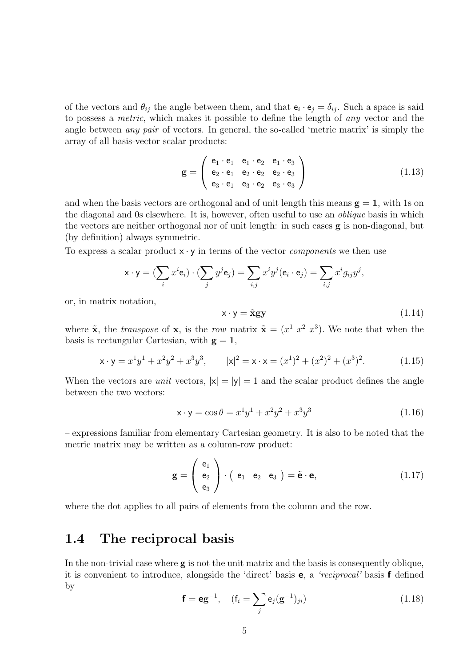of the vectors and  $\theta_{ij}$  the angle between them, and that  $e_i \cdot e_j = \delta_{ij}$ . Such a space is said to possess a metric, which makes it possible to define the length of any vector and the angle between any pair of vectors. In general, the so-called 'metric matrix' is simply the array of all basis-vector scalar products:

$$
\mathbf{g} = \left( \begin{array}{ccc} \mathbf{e}_1 \cdot \mathbf{e}_1 & \mathbf{e}_1 \cdot \mathbf{e}_2 & \mathbf{e}_1 \cdot \mathbf{e}_3 \\ \mathbf{e}_2 \cdot \mathbf{e}_1 & \mathbf{e}_2 \cdot \mathbf{e}_2 & \mathbf{e}_2 \cdot \mathbf{e}_3 \\ \mathbf{e}_3 \cdot \mathbf{e}_1 & \mathbf{e}_3 \cdot \mathbf{e}_2 & \mathbf{e}_3 \cdot \mathbf{e}_3 \end{array} \right)
$$
(1.13)

and when the basis vectors are orthogonal and of unit length this means  $g = 1$ , with 1s on the diagonal and 0s elsewhere. It is, however, often useful to use an oblique basis in which the vectors are neither orthogonal nor of unit length: in such cases g is non-diagonal, but (by definition) always symmetric.

To express a scalar product  $x \cdot y$  in terms of the vector *components* we then use

$$
\mathbf{x} \cdot \mathbf{y} = \left(\sum_i x^i \mathbf{e}_i\right) \cdot \left(\sum_j y^j \mathbf{e}_j\right) = \sum_{i,j} x^i y^j (\mathbf{e}_i \cdot \mathbf{e}_j) = \sum_{i,j} x^i g_{ij} y^j,
$$

or, in matrix notation,

$$
\mathbf{x} \cdot \mathbf{y} = \tilde{\mathbf{x}} \mathbf{g} \mathbf{y} \tag{1.14}
$$

where  $\tilde{\mathbf{x}}$ , the *transpose* of  $\mathbf{x}$ , is the *row* matrix  $\tilde{\mathbf{x}} = (x^1, x^2, x^3)$ . We note that when the basis is rectangular Cartesian, with  $g = 1$ ,

$$
\mathbf{x} \cdot \mathbf{y} = x^1 y^1 + x^2 y^2 + x^3 y^3, \qquad |\mathbf{x}|^2 = \mathbf{x} \cdot \mathbf{x} = (x^1)^2 + (x^2)^2 + (x^3)^2. \tag{1.15}
$$

When the vectors are *unit* vectors,  $|x| = |y| = 1$  and the scalar product defines the angle between the two vectors:

$$
x \cdot y = \cos \theta = x^1 y^1 + x^2 y^2 + x^3 y^3 \tag{1.16}
$$

– expressions familiar from elementary Cartesian geometry. It is also to be noted that the metric matrix may be written as a column-row product:

$$
\mathbf{g} = \begin{pmatrix} \mathbf{e}_1 \\ \mathbf{e}_2 \\ \mathbf{e}_3 \end{pmatrix} \cdot \begin{pmatrix} \mathbf{e}_1 & \mathbf{e}_2 & \mathbf{e}_3 \end{pmatrix} = \tilde{\mathbf{e}} \cdot \mathbf{e}, \qquad (1.17)
$$

where the dot applies to all pairs of elements from the column and the row.

### 1.4 The reciprocal basis

In the non-trivial case where  $g$  is not the unit matrix and the basis is consequently oblique, it is convenient to introduce, alongside the 'direct' basis e, a 'reciprocal' basis f defined by

$$
\mathbf{f} = \mathbf{e}\mathbf{g}^{-1}, \quad (\mathbf{f}_i = \sum_j \mathbf{e}_j (\mathbf{g}^{-1})_{ji})
$$
(1.18)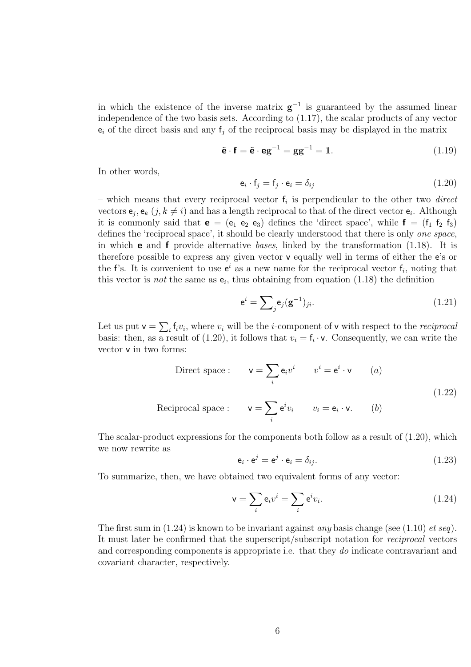in which the existence of the inverse matrix  $g^{-1}$  is guaranteed by the assumed linear independence of the two basis sets. According to (1.17), the scalar products of any vector  $e_i$  of the direct basis and any  $f_i$  of the reciprocal basis may be displayed in the matrix

$$
\tilde{\mathbf{e}} \cdot \mathbf{f} = \tilde{\mathbf{e}} \cdot \mathbf{eg}^{-1} = \mathbf{gg}^{-1} = \mathbf{1}.\tag{1.19}
$$

In other words,

$$
\mathbf{e}_i \cdot \mathbf{f}_j = \mathbf{f}_j \cdot \mathbf{e}_i = \delta_{ij} \tag{1.20}
$$

– which means that every reciprocal vector  $f_i$  is perpendicular to the other two *direct* vectors  $e_j, e_k$   $(j, k \neq i)$  and has a length reciprocal to that of the direct vector  $e_i$ . Although it is commonly said that  $e = (e_1 \cdot e_2 \cdot e_3)$  defines the 'direct space', while  $f = (f_1 \cdot f_2 \cdot f_3)$ defines the 'reciprocal space', it should be clearly understood that there is only one space, in which **e** and **f** provide alternative bases, linked by the transformation  $(1.18)$ . It is therefore possible to express any given vector v equally well in terms of either the e's or the f's. It is convenient to use  $e^i$  as a new name for the reciprocal vector  $f_i$ , noting that this vector is *not* the same as  $e_i$ , thus obtaining from equation (1.18) the definition

$$
\mathbf{e}^i = \sum_{j} \mathbf{e}_j (\mathbf{g}^{-1})_{ji}.\tag{1.21}
$$

Let us put  $\mathsf{v} = \sum_i \mathsf{f}_i v_i$ , where  $v_i$  will be the *i*-component of  $\mathsf{v}$  with respect to the *reciprocal* basis: then, as a result of (1.20), it follows that  $v_i = \mathsf{f}_i \cdot \mathsf{v}$ . Consequently, we can write the vector v in two forms:

Direct space : 
$$
\mathbf{v} = \sum_{i} \mathbf{e}_{i} v^{i}
$$
  $v^{i} = \mathbf{e}^{i} \cdot \mathbf{v}$  (a)  
Reciprocal space :  $\mathbf{v} = \sum_{i} \mathbf{e}^{i} v_{i}$   $v_{i} = \mathbf{e}_{i} \cdot \mathbf{v}$ . (b)

The scalar-product expressions for the components both follow as a result of  $(1.20)$ , which we now rewrite as

$$
\mathbf{e}_i \cdot \mathbf{e}^j = \mathbf{e}^j \cdot \mathbf{e}_i = \delta_{ij}.\tag{1.23}
$$

To summarize, then, we have obtained two equivalent forms of any vector:

$$
\mathbf{v} = \sum_{i} \mathbf{e}_{i} v^{i} = \sum_{i} \mathbf{e}^{i} v_{i}.
$$
 (1.24)

The first sum in  $(1.24)$  is known to be invariant against *any* basis change (see  $(1.10)$  *et seq*). It must later be confirmed that the superscript/subscript notation for reciprocal vectors and corresponding components is appropriate i.e. that they do indicate contravariant and covariant character, respectively.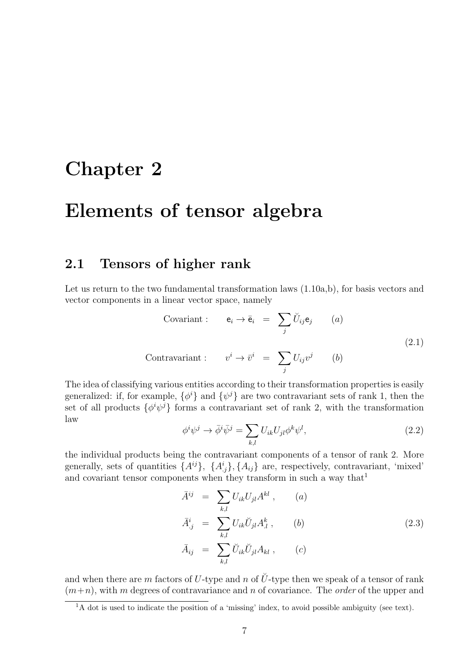# Chapter 2

## Elements of tensor algebra

### 2.1 Tensors of higher rank

Let us return to the two fundamental transformation laws  $(1.10a,b)$ , for basis vectors and vector components in a linear vector space, namely

Covariant : 
$$
\mathbf{e}_i \to \bar{\mathbf{e}}_i = \sum_j \breve{U}_{ij} \mathbf{e}_j
$$
 (a)  
Contravariant :  $v^i \to \bar{v}^i = \sum U_{ij} v^j$  (b) (2.1)

 $\overline{i}$ 

The idea of classifying various entities according to their transformation properties is easily generalized: if, for example,  $\{\phi^i\}$  and  $\{\psi^j\}$  are two contravariant sets of rank 1, then the set of all products  $\{\phi^i\psi^j\}$  forms a contravariant set of rank 2, with the transformation law

$$
\phi^i \psi^j \to \bar{\phi}^i \bar{\psi}^j = \sum_{k,l} U_{ik} U_{jl} \phi^k \psi^l, \qquad (2.2)
$$

the individual products being the contravariant components of a tensor of rank 2. More generally, sets of quantities  $\{A^{ij}\}, \{A^i_{ij}\}, \{A_{ij}\}\$ are, respectively, contravariant, 'mixed' and covariant tensor components when they transform in such a way that<sup>1</sup>

$$
\bar{A}^{ij} = \sum_{k,l} U_{ik} U_{jl} A^{kl} , \qquad (a)
$$
  

$$
\bar{A}^{i}_{.j} = \sum_{k,l} U_{ik} \breve{U}_{jl} A^{k}_{.l} , \qquad (b)
$$
  

$$
\bar{A}_{ij} = \sum_{k,l} \breve{U}_{ik} \breve{U}_{jl} A_{kl} , \qquad (c)
$$
 (2.3)

and when there are m factors of U-type and n of  $\check{U}$ -type then we speak of a tensor of rank  $(m+n)$ , with m degrees of contravariance and n of covariance. The *order* of the upper and

 $\frac{1}{1}$ A dot is used to indicate the position of a 'missing' index, to avoid possible ambiguity (see text).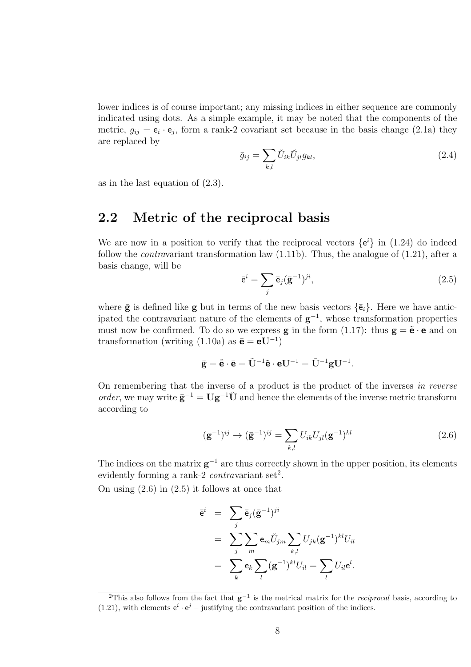lower indices is of course important; any missing indices in either sequence are commonly indicated using dots. As a simple example, it may be noted that the components of the metric,  $g_{ij} = e_i \cdot e_j$ , form a rank-2 covariant set because in the basis change (2.1a) they are replaced by

$$
\bar{g}_{ij} = \sum_{k,l} \breve{U}_{ik} \breve{U}_{jl} g_{kl},\tag{2.4}
$$

as in the last equation of (2.3).

### 2.2 Metric of the reciprocal basis

We are now in a position to verify that the reciprocal vectors  $\{e^{i}\}\$ in (1.24) do indeed follow the *contravariant* transformation law  $(1.11b)$ . Thus, the analogue of  $(1.21)$ , after a basis change, will be

$$
\bar{\mathbf{e}}^i = \sum_j \bar{\mathbf{e}}_j (\bar{\mathbf{g}}^{-1})^{ji},\tag{2.5}
$$

where  $\bar{\mathbf{g}}$  is defined like  $\mathbf{g}$  but in terms of the new basis vectors  $\{\bar{\mathbf{e}}_i\}$ . Here we have anticipated the contravariant nature of the elements of  $g^{-1}$ , whose transformation properties must now be confirmed. To do so we express **g** in the form (1.17): thus  $\mathbf{g} = \tilde{\mathbf{e}} \cdot \mathbf{e}$  and on transformation (writing (1.10a) as  $\bar{\mathbf{e}} = \mathbf{e} \mathbf{U}^{-1}$ )

$$
\bar{\mathbf{g}} = \tilde{\bar{\mathbf{e}}} \cdot \bar{\mathbf{e}} = \tilde{\mathbf{U}}^{-1} \tilde{\mathbf{e}} \cdot \mathbf{e} \mathbf{U}^{-1} = \tilde{\mathbf{U}}^{-1} \mathbf{g} \mathbf{U}^{-1}.
$$

On remembering that the inverse of a product is the product of the inverses in reverse order, we may write  $\bar{\mathbf{g}}^{-1} = \mathbf{U}\mathbf{g}^{-1}\tilde{\mathbf{U}}$  and hence the elements of the inverse metric transform according to

$$
(\mathbf{g}^{-1})^{ij} \to (\bar{\mathbf{g}}^{-1})^{ij} = \sum_{k,l} U_{ik} U_{jl} (\mathbf{g}^{-1})^{kl}
$$
 (2.6)

The indices on the matrix  $g^{-1}$  are thus correctly shown in the upper position, its elements evidently forming a rank-2 *contravariant* set<sup>2</sup>.

On using  $(2.6)$  in  $(2.5)$  it follows at once that

$$
\overline{e}^i = \sum_j \overline{e}_j (\overline{\mathbf{g}}^{-1})^{ji}
$$
  
= 
$$
\sum_j \sum_m \mathbf{e}_m \breve{U}_{jm} \sum_{k,l} U_{jk} (\mathbf{g}^{-1})^{kl} U_{il}
$$
  
= 
$$
\sum_k \mathbf{e}_k \sum_l (\mathbf{g}^{-1})^{kl} U_{il} = \sum_l U_{il} \mathbf{e}^l.
$$

<sup>&</sup>lt;sup>2</sup>This also follows from the fact that  $g^{-1}$  is the metrical matrix for the *reciprocal* basis, according to (1.21), with elements  $e^i \cdot e^j$  – justifying the contravariant position of the indices.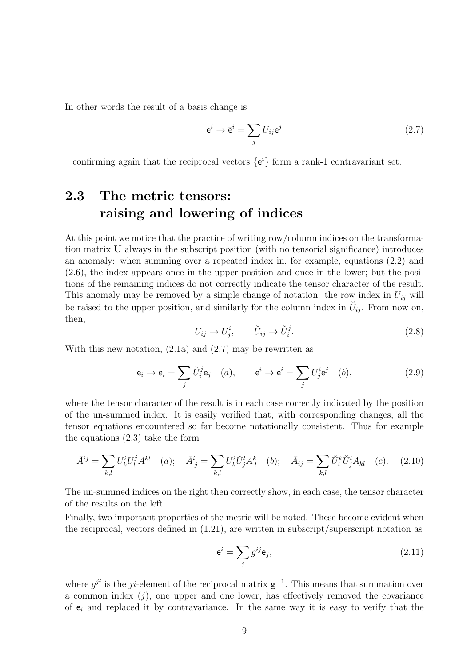In other words the result of a basis change is

$$
\mathbf{e}^i \to \bar{\mathbf{e}}^i = \sum_j U_{ij} \mathbf{e}^j \tag{2.7}
$$

– confirming again that the reciprocal vectors  $\{e^i\}$  form a rank-1 contravariant set.

## 2.3 The metric tensors: raising and lowering of indices

At this point we notice that the practice of writing row/column indices on the transformation matrix U always in the subscript position (with no tensorial significance) introduces an anomaly: when summing over a repeated index in, for example, equations (2.2) and (2.6), the index appears once in the upper position and once in the lower; but the positions of the remaining indices do not correctly indicate the tensor character of the result. This anomaly may be removed by a simple change of notation: the row index in  $U_{ij}$  will be raised to the upper position, and similarly for the column index in  $\check{U}_{ij}$ . From now on, then,

$$
U_{ij} \to U_j^i, \qquad \breve{U}_{ij} \to \breve{U}_i^j. \tag{2.8}
$$

With this new notation,  $(2.1a)$  and  $(2.7)$  may be rewritten as

$$
\mathbf{e}_i \to \bar{\mathbf{e}}_i = \sum_j \breve{U}_i^j \mathbf{e}_j \quad (a), \qquad \mathbf{e}^i \to \bar{\mathbf{e}}^i = \sum_j U_j^i \mathbf{e}^j \quad (b), \tag{2.9}
$$

where the tensor character of the result is in each case correctly indicated by the position of the un-summed index. It is easily verified that, with corresponding changes, all the tensor equations encountered so far become notationally consistent. Thus for example the equations (2.3) take the form

$$
\bar{A}^{ij} = \sum_{k,l} U_k^i U_l^j A^{kl} \quad (a); \quad \bar{A}_{.j}^i = \sum_{k,l} U_k^i \bar{U}_j^l A_{.l}^k \quad (b); \quad \bar{A}_{ij} = \sum_{k,l} \bar{U}_i^k \bar{U}_j^l A_{kl} \quad (c). \quad (2.10)
$$

The un-summed indices on the right then correctly show, in each case, the tensor character of the results on the left.

Finally, two important properties of the metric will be noted. These become evident when the reciprocal, vectors defined in (1.21), are written in subscript/superscript notation as

$$
\mathbf{e}^i = \sum_j g^{ij} \mathbf{e}_j,\tag{2.11}
$$

where  $g^{ji}$  is the ji-element of the reciprocal matrix  $g^{-1}$ . This means that summation over a common index  $(j)$ , one upper and one lower, has effectively removed the covariance of  $e_i$  and replaced it by contravariance. In the same way it is easy to verify that the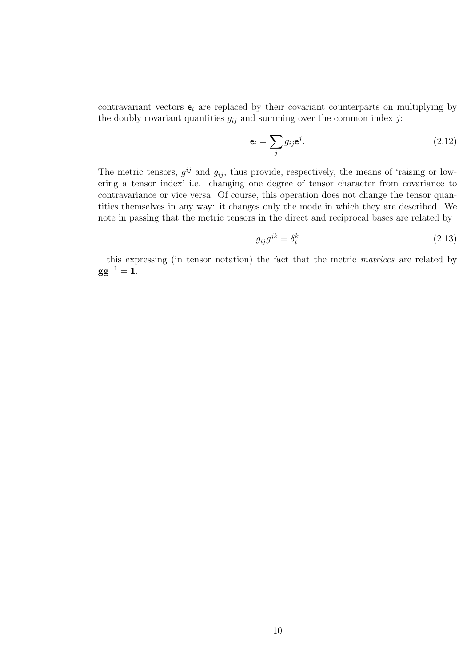contravariant vectors  $e_i$  are replaced by their covariant counterparts on multiplying by the doubly covariant quantities  $g_{ij}$  and summing over the common index j:

$$
\mathbf{e}_i = \sum_j g_{ij} \mathbf{e}^j. \tag{2.12}
$$

The metric tensors,  $g^{ij}$  and  $g_{ij}$ , thus provide, respectively, the means of 'raising or lowering a tensor index' i.e. changing one degree of tensor character from covariance to contravariance or vice versa. Of course, this operation does not change the tensor quantities themselves in any way: it changes only the mode in which they are described. We note in passing that the metric tensors in the direct and reciprocal bases are related by

$$
g_{ij}g^{jk} = \delta_i^k \tag{2.13}
$$

– this expressing (in tensor notation) the fact that the metric matrices are related by  $gg^{-1} = 1.$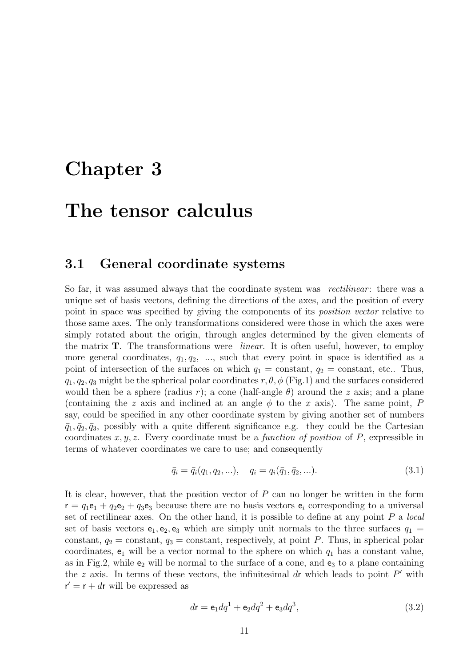## Chapter 3

## The tensor calculus

#### 3.1 General coordinate systems

So far, it was assumed always that the coordinate system was *rectilinear*: there was a unique set of basis vectors, defining the directions of the axes, and the position of every point in space was specified by giving the components of its position vector relative to those same axes. The only transformations considered were those in which the axes were simply rotated about the origin, through angles determined by the given elements of the matrix T. The transformations were linear. It is often useful, however, to employ more general coordinates,  $q_1, q_2, \ldots$ , such that every point in space is identified as a point of intersection of the surfaces on which  $q_1 = \text{constant}$ ,  $q_2 = \text{constant}$ , etc.. Thus,  $q_1, q_2, q_3$  might be the spherical polar coordinates  $r, \theta, \phi$  (Fig.1) and the surfaces considered would then be a sphere (radius r); a cone (half-angle  $\theta$ ) around the z axis; and a plane (containing the z axis and inclined at an angle  $\phi$  to the x axis). The same point, P say, could be specified in any other coordinate system by giving another set of numbers  $\bar{q}_1, \bar{q}_2, \bar{q}_3$ , possibly with a quite different significance e.g. they could be the Cartesian coordinates  $x, y, z$ . Every coordinate must be a *function of position* of  $P$ , expressible in terms of whatever coordinates we care to use; and consequently

$$
\bar{q}_i = \bar{q}_i(q_1, q_2, \ldots), \quad q_i = q_i(\bar{q}_1, \bar{q}_2, \ldots). \tag{3.1}
$$

It is clear, however, that the position vector of  $P$  can no longer be written in the form  $r = q_1 e_1 + q_2 e_2 + q_3 e_3$  because there are no basis vectors  $e_i$  corresponding to a universal set of rectilinear axes. On the other hand, it is possible to define at any point  $P$  a local set of basis vectors  $e_1, e_2, e_3$  which are simply unit normals to the three surfaces  $q_1 =$ constant,  $q_2$  = constant,  $q_3$  = constant, respectively, at point P. Thus, in spherical polar coordinates,  $e_1$  will be a vector normal to the sphere on which  $q_1$  has a constant value, as in Fig.2, while  $e_2$  will be normal to the surface of a cone, and  $e_3$  to a plane containing the z axis. In terms of these vectors, the infinitesimal dr which leads to point  $P'$  with  $\mathbf{r}' = \mathbf{r} + d\mathbf{r}$  will be expressed as

$$
d\mathbf{r} = \mathbf{e}_1 dq^1 + \mathbf{e}_2 dq^2 + \mathbf{e}_3 dq^3,
$$
\n(3.2)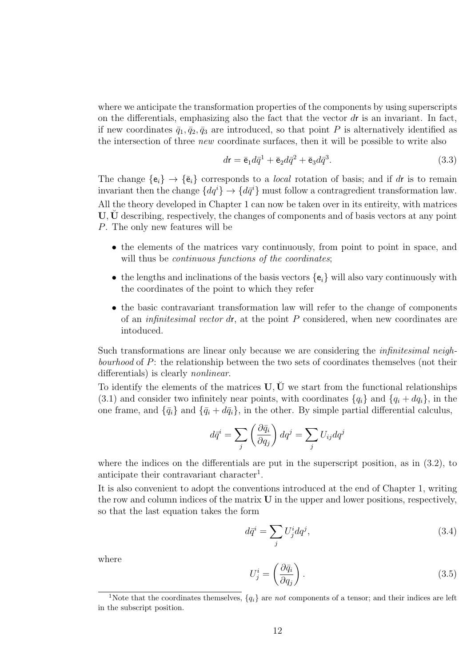where we anticipate the transformation properties of the components by using superscripts on the differentials, emphasizing also the fact that the vector  $dr$  is an invariant. In fact, if new coordinates  $\bar{q}_1, \bar{q}_2, \bar{q}_3$  are introduced, so that point P is alternatively identified as the intersection of three *new* coordinate surfaces, then it will be possible to write also

$$
d\mathbf{r} = \bar{\mathbf{e}}_1 d\bar{q}^1 + \bar{\mathbf{e}}_2 d\bar{q}^2 + \bar{\mathbf{e}}_3 d\bar{q}^3. \tag{3.3}
$$

The change  $\{\mathsf e_i\} \to \{\bar{\mathsf e}_i\}$  corresponds to a *local* rotation of basis; and if dr is to remain invariant then the change  $\{dq^{i}\}\rightarrow\{d\bar{q}^{i}\}\$  must follow a contragredient transformation law. All the theory developed in Chapter 1 can now be taken over in its entireity, with matrices U, U describing, respectively, the changes of components and of basis vectors at any point P. The only new features will be

- the elements of the matrices vary continuously, from point to point in space, and will thus be *continuous functions of the coordinates*;
- the lengths and inclinations of the basis vectors  $\{e_i\}$  will also vary continuously with the coordinates of the point to which they refer
- the basic contravariant transformation law will refer to the change of components of an *infinitesimal vector dr*, at the point  $P$  considered, when new coordinates are intoduced.

Such transformations are linear only because we are considering the infinitesimal neighbourhood of P: the relationship between the two sets of coordinates themselves (not their differentials) is clearly nonlinear.

To identify the elements of the matrices  $U, \check{U}$  we start from the functional relationships (3.1) and consider two infinitely near points, with coordinates  ${q_i}$  and  ${q_i + dq_i}$ , in the one frame, and  $\{\bar{q}_i\}$  and  $\{\bar{q}_i + d\bar{q}_i\}$ , in the other. By simple partial differential calculus,

$$
d\bar{q}^i = \sum_j \left(\frac{\partial \bar{q}_i}{\partial q_j}\right) dq^j = \sum_j U_{ij} dq^j
$$

where the indices on the differentials are put in the superscript position, as in (3.2), to anticipate their contravariant character<sup>1</sup>.

It is also convenient to adopt the conventions introduced at the end of Chapter 1, writing the row and column indices of the matrix  $U$  in the upper and lower positions, respectively, so that the last equation takes the form

$$
d\bar{q}^i = \sum_j U_j^i dq^j,\tag{3.4}
$$

where

$$
U_j^i = \left(\frac{\partial \bar{q}_i}{\partial q_j}\right). \tag{3.5}
$$

<sup>&</sup>lt;sup>1</sup>Note that the coordinates themselves,  $\{q_i\}$  are *not* components of a tensor; and their indices are left in the subscript position.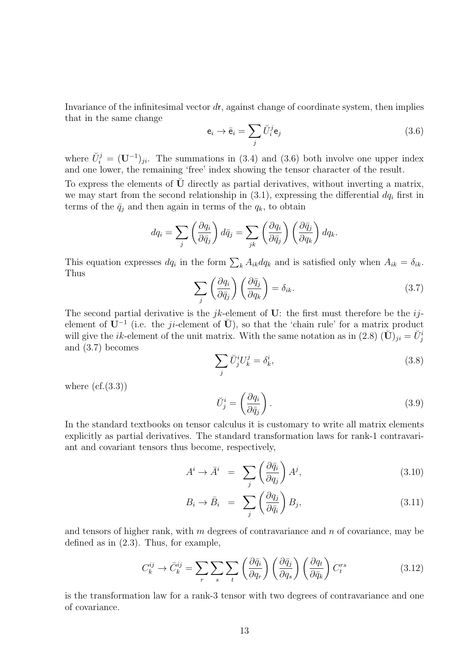Invariance of the infinitesimal vector  $d\mathbf{r}$ , against change of coordinate system, then implies that in the same change

$$
\mathbf{e}_i \to \bar{\mathbf{e}}_i = \sum_j \breve{U}_i^j \mathbf{e}_j \tag{3.6}
$$

where  $\check{U}_i^j = (\mathbf{U}^{-1})_{ji}$ . The summations in (3.4) and (3.6) both involve one upper index and one lower, the remaining 'free' index showing the tensor character of the result.

To express the elements of  $\dot{\mathbf{U}}$  directly as partial derivatives, without inverting a matrix, we may start from the second relationship in  $(3.1)$ , expressing the differential  $dq_i$  first in terms of the  $\bar{q}_j$  and then again in terms of the  $q_k$ , to obtain

$$
dq_i = \sum_j \left(\frac{\partial q_i}{\partial \bar{q}_j}\right) d\bar{q}_j = \sum_{jk} \left(\frac{\partial q_i}{\partial \bar{q}_j}\right) \left(\frac{\partial \bar{q}_j}{\partial q_k}\right) dq_k.
$$

This equation expresses  $dq_i$  in the form  $\sum_k A_{ik}dq_k$  and is satisfied only when  $A_{ik} = \delta_{ik}$ . Thus

$$
\sum_{j} \left( \frac{\partial q_i}{\partial \bar{q}_j} \right) \left( \frac{\partial \bar{q}_j}{\partial q_k} \right) = \delta_{ik}.
$$
\n(3.7)

The second partial derivative is the *jk*-element of U: the first must therefore be the  $ij$ element of  $\mathbf{U}^{-1}$  (i.e. the ji-element of  $\breve{\mathbf{U}}$ ), so that the 'chain rule' for a matrix product will give the *ik*-element of the unit matrix. With the same notation as in (2.8)  $(\check{\mathbf{U}})_{ji} = \check{U}^i_j$ and (3.7) becomes

$$
\sum_{j} \breve{U}_{j}^{i} U_{k}^{j} = \delta_{k}^{i},\tag{3.8}
$$

where  $(cf.(3.3))$ 

$$
\breve{U}_j^i = \left(\frac{\partial q_i}{\partial \bar{q}_j}\right). \tag{3.9}
$$

In the standard textbooks on tensor calculus it is customary to write all matrix elements explicitly as partial derivatives. The standard transformation laws for rank-1 contravariant and covariant tensors thus become, respectively,

$$
A^i \to \bar{A}^i \quad = \quad \sum_j \left( \frac{\partial \bar{q}_i}{\partial q_j} \right) A^j,\tag{3.10}
$$

$$
B_i \to \bar{B}_i = \sum_j \left( \frac{\partial q_j}{\partial \bar{q}_i} \right) B_j, \tag{3.11}
$$

and tensors of higher rank, with  $m$  degrees of contravariance and  $n$  of covariance, may be defined as in (2.3). Thus, for example,

$$
C_k^{ij} \to \bar{C}_k^{ij} = \sum_r \sum_s \sum_t \left(\frac{\partial \bar{q}_i}{\partial q_r}\right) \left(\frac{\partial \bar{q}_j}{\partial q_s}\right) \left(\frac{\partial q_t}{\partial \bar{q}_k}\right) C_t^{rs}
$$
(3.12)

is the transformation law for a rank-3 tensor with two degrees of contravariance and one of covariance.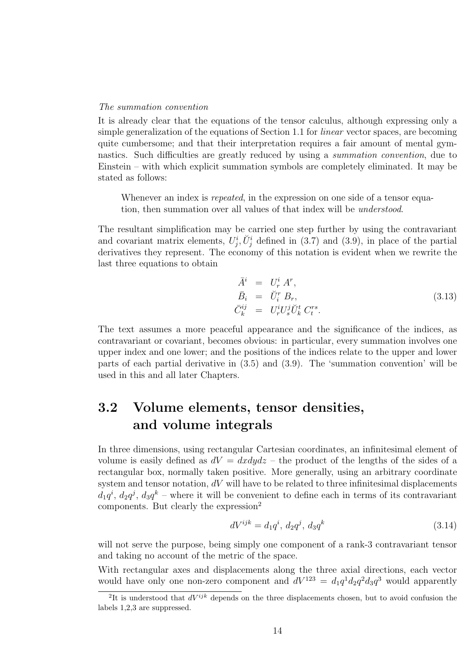#### The summation convention

It is already clear that the equations of the tensor calculus, although expressing only a simple generalization of the equations of Section 1.1 for linear vector spaces, are becoming quite cumbersome; and that their interpretation requires a fair amount of mental gymnastics. Such difficulties are greatly reduced by using a summation convention, due to Einstein – with which explicit summation symbols are completely eliminated. It may be stated as follows:

Whenever an index is *repeated*, in the expression on one side of a tensor equation, then summation over all values of that index will be understood.

The resultant simplification may be carried one step further by using the contravariant and covariant matrix elements,  $U_j^i$ ,  $\check{U}_j^i$  defined in (3.7) and (3.9), in place of the partial derivatives they represent. The economy of this notation is evident when we rewrite the last three equations to obtain

$$
\begin{aligned}\n\bar{A}^i &= U^i_r A^r, \\
\bar{B}_i &= \check{U}^r_i B_r, \\
\bar{C}^{ij}_k &= U^i_r U^j_s \check{U}^t_k C^{rs}_t.\n\end{aligned} \tag{3.13}
$$

The text assumes a more peaceful appearance and the significance of the indices, as contravariant or covariant, becomes obvious: in particular, every summation involves one upper index and one lower; and the positions of the indices relate to the upper and lower parts of each partial derivative in (3.5) and (3.9). The 'summation convention' will be used in this and all later Chapters.

## 3.2 Volume elements, tensor densities, and volume integrals

In three dimensions, using rectangular Cartesian coordinates, an infinitesimal element of volume is easily defined as  $dV = dxdydz$  – the product of the lengths of the sides of a rectangular box, normally taken positive. More generally, using an arbitrary coordinate system and tensor notation,  $dV$  will have to be related to three infinitesimal displacements  $d_1q^i$ ,  $d_2q^j$ ,  $d_3q^k$  – where it will be convenient to define each in terms of its contravariant components. But clearly the expression<sup>2</sup>

$$
dV^{ijk} = d_1 q^i, d_2 q^j, d_3 q^k
$$
\n(3.14)

will not serve the purpose, being simply one component of a rank-3 contravariant tensor and taking no account of the metric of the space.

With rectangular axes and displacements along the three axial directions, each vector would have only one non-zero component and  $dV^{123} = d_1q^1d_2q^2d_3q^3$  would apparently

<sup>&</sup>lt;sup>2</sup>It is understood that  $dV^{ijk}$  depends on the three displacements chosen, but to avoid confusion the labels 1,2,3 are suppressed.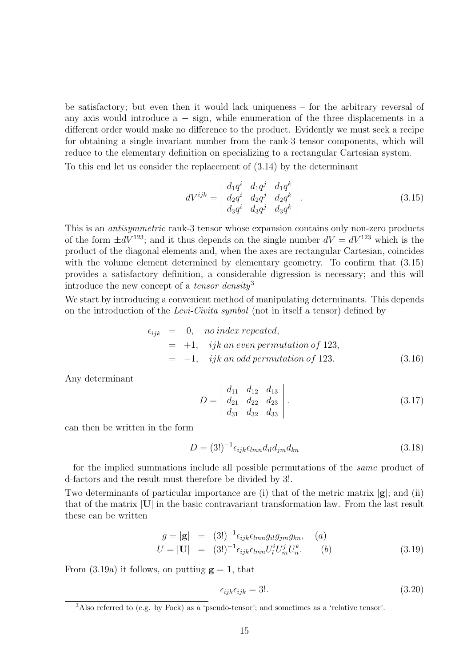be satisfactory; but even then it would lack uniqueness – for the arbitrary reversal of any axis would introduce  $a - sign$ , while enumeration of the three displacements in a different order would make no difference to the product. Evidently we must seek a recipe for obtaining a single invariant number from the rank-3 tensor components, which will reduce to the elementary definition on specializing to a rectangular Cartesian system.

To this end let us consider the replacement of (3.14) by the determinant

$$
dV^{ijk} = \begin{vmatrix} d_1q^i & d_1q^j & d_1q^k \\ d_2q^i & d_2q^j & d_2q^k \\ d_3q^i & d_3q^j & d_3q^k \end{vmatrix} . \tag{3.15}
$$

This is an antisymmetric rank-3 tensor whose expansion contains only non-zero products of the form  $\pm dV^{123}$ ; and it thus depends on the single number  $dV = dV^{123}$  which is the product of the diagonal elements and, when the axes are rectangular Cartesian, coincides with the volume element determined by elementary geometry. To confirm that  $(3.15)$ provides a satisfactory definition, a considerable digression is necessary; and this will introduce the new concept of a tensor density<sup>3</sup>

We start by introducing a convenient method of manipulating determinants. This depends on the introduction of the Levi-Civita symbol (not in itself a tensor) defined by

$$
\epsilon_{ijk} = 0, \quad no\ index\ repeated,
$$
  
= +1, \quad ijk\ an\ even\ permutation\ of\ 123,  
= -1, \quad ijk\ an\ odd\ permutation\ of\ 123. (3.16)

Any determinant

$$
D = \begin{vmatrix} d_{11} & d_{12} & d_{13} \\ d_{21} & d_{22} & d_{23} \\ d_{31} & d_{32} & d_{33} \end{vmatrix}.
$$
 (3.17)

can then be written in the form

$$
D = (3!)^{-1} \epsilon_{ijk} \epsilon_{lmn} d_{il} d_{jm} d_{kn}
$$
\n(3.18)

– for the implied summations include all possible permutations of the same product of d-factors and the result must therefore be divided by 3!.

Two determinants of particular importance are (i) that of the metric matrix  $|g|$ ; and (ii) that of the matrix |U| in the basic contravariant transformation law. From the last result these can be written

$$
g = |\mathbf{g}| = (3!)^{-1} \epsilon_{ijk} \epsilon_{lmn} g_{il} g_{jm} g_{kn}, \quad (a)
$$
  
\n
$$
U = |\mathbf{U}| = (3!)^{-1} \epsilon_{ijk} \epsilon_{lmn} U_l^i U_m^j U_n^k.
$$
 (b) (3.19)

From (3.19a) it follows, on putting  $g = 1$ , that

$$
\epsilon_{ijk}\epsilon_{ijk} = 3!.\tag{3.20}
$$

<sup>&</sup>lt;sup>3</sup>Also referred to (e.g. by Fock) as a 'pseudo-tensor'; and sometimes as a 'relative tensor'.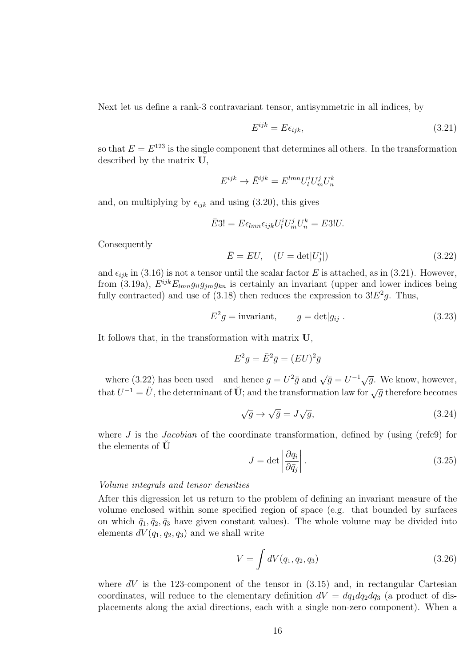Next let us define a rank-3 contravariant tensor, antisymmetric in all indices, by

$$
E^{ijk} = E\epsilon_{ijk},\tag{3.21}
$$

so that  $E = E^{123}$  is the single component that determines all others. In the transformation described by the matrix U,

$$
E^{ijk} \rightarrow \bar{E}^{ijk} = E^{lmn} U^i_l U^j_m U^k_n
$$

and, on multiplying by  $\epsilon_{ijk}$  and using (3.20), this gives

$$
\bar{E}3! = E\epsilon_{lmn}\epsilon_{ijk}U^i_lU^j_mU^k_n = E3!U.
$$

Consequently

$$
\bar{E} = EU, \quad (U = \det|U_j^i|)
$$
\n(3.22)

and  $\epsilon_{ijk}$  in (3.16) is not a tensor until the scalar factor E is attached, as in (3.21). However, from (3.19a),  $E^{ijk}E_{lmn}g_{il}g_{jm}g_{kn}$  is certainly an invariant (upper and lower indices being fully contracted) and use of (3.18) then reduces the expression to  $3E^2g$ . Thus,

$$
E^2 g = \text{invariant}, \qquad g = \det|g_{ij}|. \tag{3.23}
$$

It follows that, in the transformation with matrix U,

$$
E^2 g = \bar{E}^2 \bar{g} = (EU)^2 \bar{g}
$$

– where (3.22) has been used – and hence  $g = U^2 \bar{g}$  and  $\sqrt{\bar{g}} = U^{-1} \sqrt{g}$ . We know, however, that  $U^{-1} = \breve{U}$ , the determinant of  $\breve{U}$ ; and the transformation law for  $\sqrt{g}$  therefore becomes

$$
\sqrt{g} \to \sqrt{\bar{g}} = J\sqrt{g},\tag{3.24}
$$

where  $J$  is the *Jacobian* of the coordinate transformation, defined by (using (refc9) for the elements of  $\check{\mathbf{U}}$ 

$$
J = \det \left| \frac{\partial q_i}{\partial \bar{q}_j} \right|.
$$
\n(3.25)

#### Volume integrals and tensor densities

After this digression let us return to the problem of defining an invariant measure of the volume enclosed within some specified region of space (e.g. that bounded by surfaces on which  $\bar{q}_1, \bar{q}_2, \bar{q}_3$  have given constant values). The whole volume may be divided into elements  $dV(q_1, q_2, q_3)$  and we shall write

$$
V = \int dV(q_1, q_2, q_3) \tag{3.26}
$$

where  $dV$  is the 123-component of the tensor in  $(3.15)$  and, in rectangular Cartesian coordinates, will reduce to the elementary definition  $dV = dq_1 dq_2 dq_3$  (a product of displacements along the axial directions, each with a single non-zero component). When a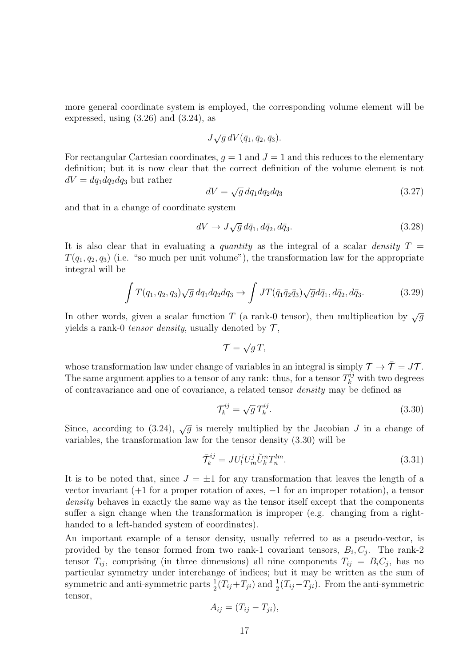more general coordinate system is employed, the corresponding volume element will be expressed, using  $(3.26)$  and  $(3.24)$ , as

$$
J\sqrt{g} dV(\bar{q}_1, \bar{q}_2, \bar{q}_3).
$$

For rectangular Cartesian coordinates,  $g = 1$  and  $J = 1$  and this reduces to the elementary definition; but it is now clear that the correct definition of the volume element is not  $dV = dq_1 dq_2 dq_3$  but rather

$$
dV = \sqrt{g} dq_1 dq_2 dq_3 \tag{3.27}
$$

and that in a change of coordinate system

$$
dV \to J\sqrt{g} \, d\bar{q}_1, d\bar{q}_2, d\bar{q}_3. \tag{3.28}
$$

It is also clear that in evaluating a *quantity* as the integral of a scalar *density*  $T =$  $T(q_1, q_2, q_3)$  (i.e. "so much per unit volume"), the transformation law for the appropriate integral will be

$$
\int T(q_1, q_2, q_3) \sqrt{g} \, dq_1 dq_2 dq_3 \to \int JT(\bar{q}_1 \bar{q}_2 \bar{q}_3) \sqrt{g} d\bar{q}_1, d\bar{q}_2, d\bar{q}_3. \tag{3.29}
$$

In other words, given a scalar function T (a rank-0 tensor), then multiplication by  $\sqrt{q}$ yields a rank-0 tensor density, usually denoted by  $\mathcal{T}$ ,

$$
\mathcal{T}=\sqrt{g}\,T,
$$

whose transformation law under change of variables in an integral is simply  $\mathcal{T} \to \bar{\mathcal{T}} = J\mathcal{T}$ . The same argument applies to a tensor of any rank: thus, for a tensor  $T_k^{ij}$  with two degrees of contravariance and one of covariance, a related tensor density may be defined as

$$
\mathcal{T}_k^{ij} = \sqrt{g} \, T_k^{ij}.\tag{3.30}
$$

Since, according to (3.24),  $\sqrt{g}$  is merely multiplied by the Jacobian J in a change of variables, the transformation law for the tensor density (3.30) will be

$$
\bar{\mathcal{T}}_k^{ij} = J U_l^i U_m^j \check{U}_k^n T_n^{lm}.
$$
\n(3.31)

It is to be noted that, since  $J = \pm 1$  for any transformation that leaves the length of a vector invariant  $(+1$  for a proper rotation of axes,  $-1$  for an improper rotation), a tensor density behaves in exactly the same way as the tensor itself except that the components suffer a sign change when the transformation is improper (e.g. changing from a righthanded to a left-handed system of coordinates).

An important example of a tensor density, usually referred to as a pseudo-vector, is provided by the tensor formed from two rank-1 covariant tensors,  $B_i, C_j$ . The rank-2 tensor  $T_{ij}$ , comprising (in three dimensions) all nine components  $T_{ij} = B_i C_j$ , has no particular symmetry under interchange of indices; but it may be written as the sum of symmetric and anti-symmetric parts  $\frac{1}{2}(T_{ij}+T_{ji})$  and  $\frac{1}{2}(T_{ij}-T_{ji})$ . From the anti-symmetric tensor,

$$
A_{ij}=(T_{ij}-T_{ji}),
$$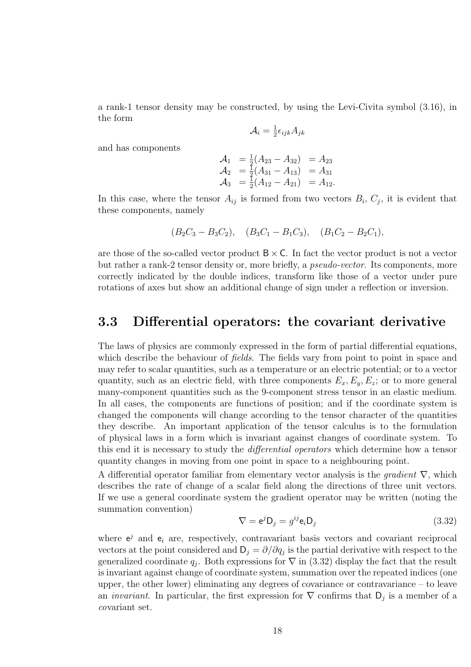a rank-1 tensor density may be constructed, by using the Levi-Civita symbol (3.16), in the form

$$
\mathcal{A}_i = \tfrac{1}{2}\epsilon_{ijk}A_{jk}
$$

and has components

$$
\begin{array}{rcl}\n\mathcal{A}_1 &= \frac{1}{2}(A_{23} - A_{32}) &= A_{23} \\
\mathcal{A}_2 &= \frac{1}{2}(A_{31} - A_{13}) &= A_{31} \\
\mathcal{A}_3 &= \frac{1}{2}(A_{12} - A_{21}) &= A_{12}.\n\end{array}
$$

In this case, where the tensor  $A_{ij}$  is formed from two vectors  $B_i, C_j$ , it is evident that these components, namely

$$
(B_2C_3 - B_3C_2)
$$
,  $(B_3C_1 - B_1C_3)$ ,  $(B_1C_2 - B_2C_1)$ ,

are those of the so-called vector product  $B \times C$ . In fact the vector product is not a vector but rather a rank-2 tensor density or, more briefly, a pseudo-vector. Its components, more correctly indicated by the double indices, transform like those of a vector under pure rotations of axes but show an additional change of sign under a reflection or inversion.

#### 3.3 Differential operators: the covariant derivative

The laws of physics are commonly expressed in the form of partial differential equations, which describe the behaviour of *fields*. The fields vary from point to point in space and may refer to scalar quantities, such as a temperature or an electric potential; or to a vector quantity, such as an electric field, with three components  $E_x, E_y, E_z$ ; or to more general many-component quantities such as the 9-component stress tensor in an elastic medium. In all cases, the components are functions of position; and if the coordinate system is changed the components will change according to the tensor character of the quantities they describe. An important application of the tensor calculus is to the formulation of physical laws in a form which is invariant against changes of coordinate system. To this end it is necessary to study the differential operators which determine how a tensor quantity changes in moving from one point in space to a neighbouring point.

A differential operator familiar from elementary vector analysis is the *gradient*  $\nabla$ , which describes the rate of change of a scalar field along the directions of three unit vectors. If we use a general coordinate system the gradient operator may be written (noting the summation convention)

$$
\nabla = \mathbf{e}^j \mathbf{D}_j = g^{ij} \mathbf{e}_i \mathbf{D}_j \tag{3.32}
$$

where  $e^j$  and  $e_i$  are, respectively, contravariant basis vectors and covariant reciprocal vectors at the point considered and  $D_j = \partial/\partial q_j$  is the partial derivative with respect to the generalized coordinate  $q_j$ . Both expressions for  $\nabla$  in (3.32) display the fact that the result is invariant against change of coordinate system, summation over the repeated indices (one upper, the other lower) eliminating any degrees of covariance or contravariance  $-$  to leave an *invariant*. In particular, the first expression for  $\nabla$  confirms that  $D_j$  is a member of a covariant set.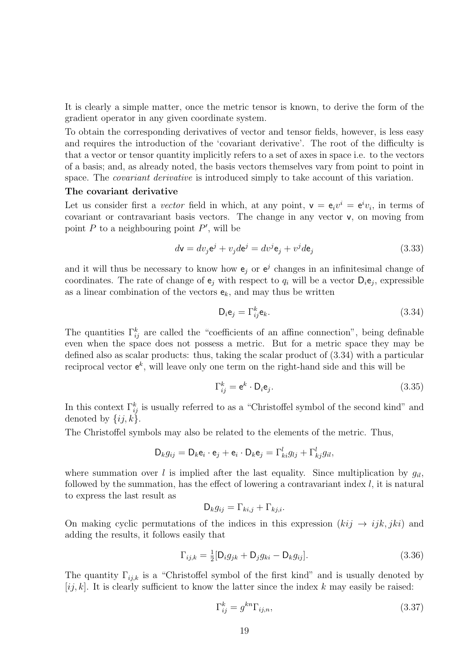It is clearly a simple matter, once the metric tensor is known, to derive the form of the gradient operator in any given coordinate system.

To obtain the corresponding derivatives of vector and tensor fields, however, is less easy and requires the introduction of the 'covariant derivative'. The root of the difficulty is that a vector or tensor quantity implicitly refers to a set of axes in space i.e. to the vectors of a basis; and, as already noted, the basis vectors themselves vary from point to point in space. The *covariant derivative* is introduced simply to take account of this variation.

#### The covariant derivative

Let us consider first a *vector* field in which, at any point,  $v = e_i v^i = e^i v_i$ , in terms of covariant or contravariant basis vectors. The change in any vector v, on moving from point  $P$  to a neighbouring point  $P'$ , will be

$$
d\mathbf{v} = dv_j \mathbf{e}^j + v_j d\mathbf{e}^j = dv^j \mathbf{e}_j + v^j d\mathbf{e}_j
$$
\n(3.33)

and it will thus be necessary to know how  $e_j$  or  $e^j$  changes in an infinitesimal change of coordinates. The rate of change of  $e_j$  with respect to  $q_i$  will be a vector  $D_i e_j$ , expressible as a linear combination of the vectors  $e_k$ , and may thus be written

$$
\mathsf{D}_i \mathsf{e}_j = \Gamma_{ij}^k \mathsf{e}_k. \tag{3.34}
$$

The quantities  $\Gamma_{ij}^k$  are called the "coefficients of an affine connection", being definable even when the space does not possess a metric. But for a metric space they may be defined also as scalar products: thus, taking the scalar product of (3.34) with a particular reciprocal vector  $e^k$ , will leave only one term on the right-hand side and this will be

$$
\Gamma_{ij}^k = \mathbf{e}^k \cdot \mathbf{D}_i \mathbf{e}_j. \tag{3.35}
$$

In this context  $\Gamma_{ij}^k$  is usually referred to as a "Christoffel symbol of the second kind" and denoted by  $\{ij, k\}$ .

The Christoffel symbols may also be related to the elements of the metric. Thus,

$$
\mathsf{D}_k g_{ij} = \mathsf{D}_k \mathsf{e}_i \cdot \mathsf{e}_j + \mathsf{e}_i \cdot \mathsf{D}_k \mathsf{e}_j = \Gamma_{ki}^l g_{lj} + \Gamma_{kj}^l g_{il},
$$

where summation over l is implied after the last equality. Since multiplication by  $q_{il}$ , followed by the summation, has the effect of lowering a contravariant index  $l$ , it is natural to express the last result as

$$
\mathsf{D}_k g_{ij} = \Gamma_{ki,j} + \Gamma_{kj,i}.
$$

On making cyclic permutations of the indices in this expression  $(kij \rightarrow ijk, jki)$  and adding the results, it follows easily that

$$
\Gamma_{ij,k} = \frac{1}{2} [\mathsf{D}_i g_{jk} + \mathsf{D}_j g_{ki} - \mathsf{D}_k g_{ij}]. \tag{3.36}
$$

The quantity  $\Gamma_{ijk}$  is a "Christoffel symbol of the first kind" and is usually denoted by  $[i, k]$ . It is clearly sufficient to know the latter since the index k may easily be raised:

$$
\Gamma_{ij}^k = g^{kn} \Gamma_{ij,n},\tag{3.37}
$$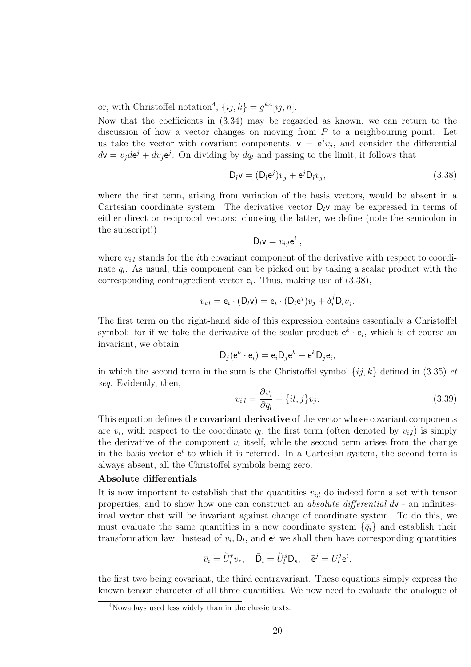or, with Christoffel notation<sup>4</sup>,  $\{ij, k\} = g^{kn}[ij, n].$ 

Now that the coefficients in (3.34) may be regarded as known, we can return to the discussion of how a vector changes on moving from  $P$  to a neighbouring point. Let us take the vector with covariant components,  $v = e^{j}v_j$ , and consider the differential  $d\mathbf{v} = v_j d\mathbf{e}^j + dv_j \mathbf{e}^j$ . On dividing by  $dq_l$  and passing to the limit, it follows that

$$
D_l v = (D_l e^j) v_j + e^j D_l v_j,
$$
\n(3.38)

where the first term, arising from variation of the basis vectors, would be absent in a Cartesian coordinate system. The derivative vector  $D_l v$  may be expressed in terms of either direct or reciprocal vectors: choosing the latter, we define (note the semicolon in the subscript!)

$$
D_l v = v_{i;l} e^i ,
$$

where  $v_{i,l}$  stands for the *i*th covariant component of the derivative with respect to coordinate  $q_l$ . As usual, this component can be picked out by taking a scalar product with the corresponding contragredient vector  $e_i$ . Thus, making use of  $(3.38)$ ,

$$
v_{i,l} = \mathsf{e}_i \cdot (\mathsf{D}_l \mathsf{v}) = \mathsf{e}_i \cdot (\mathsf{D}_l \mathsf{e}^j) v_j + \delta_i^j \mathsf{D}_l v_j.
$$

The first term on the right-hand side of this expression contains essentially a Christoffel symbol: for if we take the derivative of the scalar product  $e^k \cdot e_i$ , which is of course an invariant, we obtain

$$
D_j(e^k \cdot e_i) = e_i D_j e^k + e^k D_j e_i,
$$

in which the second term in the sum is the Christoffel symbol  $\{ij, k\}$  defined in (3.35) et seq. Evidently, then,

$$
v_{i;l} = \frac{\partial v_i}{\partial q_l} - \{il, j\}v_j.
$$
\n(3.39)

This equation defines the **covariant derivative** of the vector whose covariant components are  $v_i$ , with respect to the coordinate  $q_i$ ; the first term (often denoted by  $v_{i,l}$ ) is simply the derivative of the component  $v_i$  itself, while the second term arises from the change in the basis vector  $e^i$  to which it is referred. In a Cartesian system, the second term is always absent, all the Christoffel symbols being zero.

#### Absolute differentials

It is now important to establish that the quantities  $v_{i,l}$  do indeed form a set with tensor properties, and to show how one can construct an absolute differential dv - an infinitesimal vector that will be invariant against change of coordinate system. To do this, we must evaluate the same quantities in a new coordinate system  $\{\bar{q}_i\}$  and establish their transformation law. Instead of  $v_i$ ,  $D_l$ , and  $e^j$  we shall then have corresponding quantities

$$
\bar{v}_i = \breve{U}_i^r v_r, \quad \bar{\mathsf{D}}_l = \breve{U}_l^s \mathsf{D}_s, \quad \bar{\mathsf{e}}^j = U_l^j \mathsf{e}^t,
$$

the first two being covariant, the third contravariant. These equations simply express the known tensor character of all three quantities. We now need to evaluate the analogue of

<sup>4</sup>Nowadays used less widely than in the classic texts.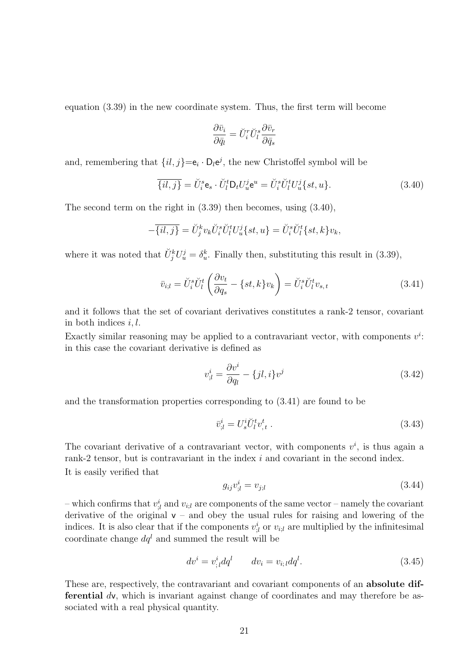equation (3.39) in the new coordinate system. Thus, the first term will become

$$
\frac{\partial \bar{v}_i}{\partial \bar{q}_l} = \breve{U}_i^r \breve{U}_l^s \frac{\partial \bar{v}_r}{\partial \bar{q}_s}
$$

and, remembering that  $\{il, j\} = \mathbf{e}_i \cdot \mathbf{D}_l \mathbf{e}^j$ , the new Christoffel symbol will be

$$
\overline{\{il,j\}} = \check{U}_i^s \mathbf{e}_s \cdot \check{U}_l^t \mathsf{D}_t U_u^j \mathsf{e}^u = \check{U}_i^s \check{U}_l^t U_u^j \{st, u\}.
$$
\n(3.40)

The second term on the right in (3.39) then becomes, using (3.40),

$$
-\overline{\{il,j\}} = \check{U}_j^k v_k \check{U}_i^s \check{U}_l^t U_u^j \{st, u\} = \check{U}_i^s \check{U}_l^t \{st, k\} v_k,
$$

where it was noted that  $\check{U}_{j}^{k}U_{u}^{j} = \delta_{u}^{k}$ . Finally then, substituting this result in (3.39),

$$
\bar{v}_{i;l} = \check{U}_i^s \check{U}_l^t \left( \frac{\partial v_t}{\partial q_s} - \{st, k\} v_k \right) = \check{U}_i^s \check{U}_l^t v_{s,t}
$$
\n(3.41)

and it follows that the set of covariant derivatives constitutes a rank-2 tensor, covariant in both indices  $i, l$ .

Exactly similar reasoning may be applied to a contravariant vector, with components  $v^i$ . in this case the covariant derivative is defined as

$$
v_{;l}^{i} = \frac{\partial v^{i}}{\partial q_{l}} - \{jl, i\}v^{j}
$$
\n(3.42)

and the transformation properties corresponding to (3.41) are found to be

$$
\bar{v}_{,l}^i = U_s^i \breve{U}_l^t v_{,t}^t \tag{3.43}
$$

The covariant derivative of a contravariant vector, with components  $v^i$ , is thus again a rank-2 tensor, but is contravariant in the index i and covariant in the second index. It is easily verified that

$$
g_{ij}v_{;l}^{i} = v_{j;l} \tag{3.44}
$$

– which confirms that  $v_{i,l}^i$  and  $v_{i,l}$  are components of the same vector – namely the covariant derivative of the original  $v -$  and obey the usual rules for raising and lowering of the indices. It is also clear that if the components  $v_{i,l}^i$  or  $v_{i,l}$  are multiplied by the infinitesimal coordinate change  $dq^l$  and summed the result will be

$$
dv^{i} = v_{;l}^{i} dq^{l} \qquad dv_{i} = v_{i;l} dq^{l}.
$$
\n(3.45)

These are, respectively, the contravariant and covariant components of an **absolute dif**ferential dv, which is invariant against change of coordinates and may therefore be associated with a real physical quantity.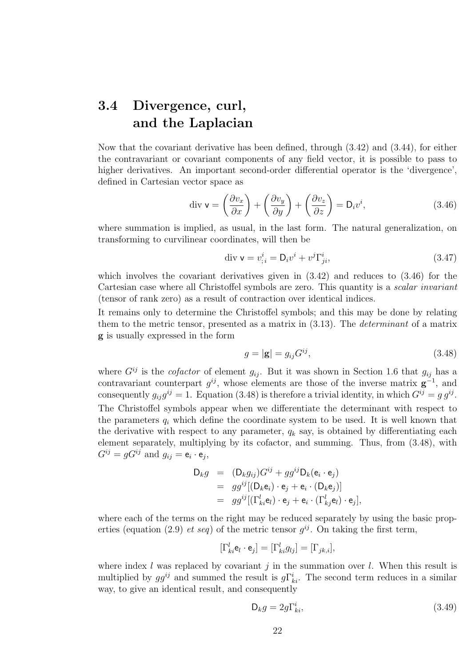## 3.4 Divergence, curl, and the Laplacian

Now that the covariant derivative has been defined, through (3.42) and (3.44), for either the contravariant or covariant components of any field vector, it is possible to pass to higher derivatives. An important second-order differential operator is the 'divergence', defined in Cartesian vector space as

$$
\operatorname{div} \mathbf{v} = \left(\frac{\partial v_x}{\partial x}\right) + \left(\frac{\partial v_y}{\partial y}\right) + \left(\frac{\partial v_z}{\partial z}\right) = \mathbf{D}_i v^i,\tag{3.46}
$$

where summation is implied, as usual, in the last form. The natural generalization, on transforming to curvilinear coordinates, will then be

$$
\operatorname{div} \mathbf{v} = v_{;i}^{i} = \mathbf{D}_{i} v^{i} + v^{j} \Gamma_{ji}^{i}, \tag{3.47}
$$

which involves the covariant derivatives given in  $(3.42)$  and reduces to  $(3.46)$  for the Cartesian case where all Christoffel symbols are zero. This quantity is a *scalar invariant* (tensor of rank zero) as a result of contraction over identical indices.

It remains only to determine the Christoffel symbols; and this may be done by relating them to the metric tensor, presented as a matrix in (3.13). The determinant of a matrix g is usually expressed in the form

$$
g = |\mathbf{g}| = g_{ij} G^{ij},\tag{3.48}
$$

where  $G^{ij}$  is the *cofactor* of element  $g_{ij}$ . But it was shown in Section 1.6 that  $g_{ij}$  has a contravariant counterpart  $g^{ij}$ , whose elements are those of the inverse matrix  $g^{-1}$ , and consequently  $g_{ij}g^{ij} = 1$ . Equation (3.48) is therefore a trivial identity, in which  $G^{ij} = g g^{ij}$ . The Christoffel symbols appear when we differentiate the determinant with respect to the parameters  $q_i$  which define the coordinate system to be used. It is well known that the derivative with respect to any parameter,  $q_k$  say, is obtained by differentiating each element separately, multiplying by its cofactor, and summing. Thus, from (3.48), with  $G^{ij} = gG^{ij}$  and  $g_{ij} = e_i \cdot e_j$ ,

$$
D_k g = (D_k g_{ij}) G^{ij} + g g^{ij} D_k (e_i \cdot e_j)
$$
  
=  $g g^{ij} [(D_k e_i) \cdot e_j + e_i \cdot (D_k e_j)]$   
=  $g g^{ij} [(\Gamma^l_{ki} e_l) \cdot e_j + e_i \cdot (\Gamma^l_{kj} e_l) \cdot e_j],$ 

where each of the terms on the right may be reduced separately by using the basic properties (equation (2.9) *et seq*) of the metric tensor  $g^{ij}$ . On taking the first term,

$$
[\Gamma_{ki}^l \mathbf{e}_l \cdot \mathbf{e}_j] = [\Gamma_{ki}^l g_{lj}] = [\Gamma_{jk,i}],
$$

where index l was replaced by covariant  $j$  in the summation over l. When this result is multiplied by  $gg^{ij}$  and summed the result is  $g\Gamma^i_{ki}$ . The second term reduces in a similar way, to give an identical result, and consequently

$$
\mathsf{D}_k g = 2g \Gamma^i_{ki},\tag{3.49}
$$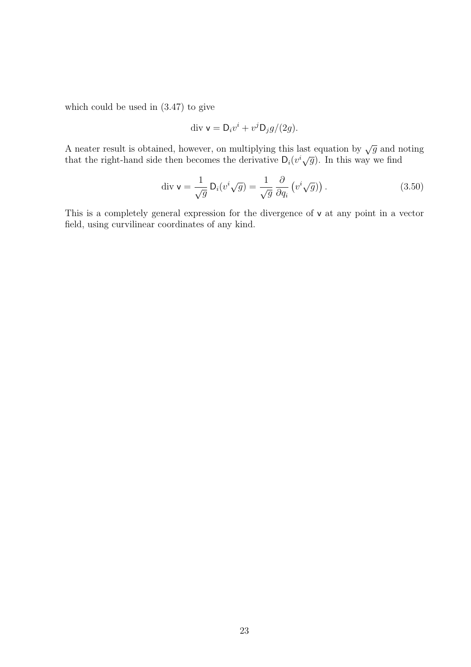which could be used in (3.47) to give

$$
\operatorname{div} \mathbf{v} = \mathbf{D}_i v^i + v^j \mathbf{D}_j g / (2g).
$$

A neater result is obtained, however, on multiplying this last equation by  $\sqrt{g}$  and noting that the right-hand side then becomes the derivative  $D_i(v^i\sqrt{g})$ . In this way we find

$$
\operatorname{div} \mathbf{v} = \frac{1}{\sqrt{g}} \mathsf{D}_i (v^i \sqrt{g}) = \frac{1}{\sqrt{g}} \frac{\partial}{\partial q_i} \left( v^i \sqrt{g} \right).
$$
 (3.50)

This is a completely general expression for the divergence of v at any point in a vector field, using curvilinear coordinates of any kind.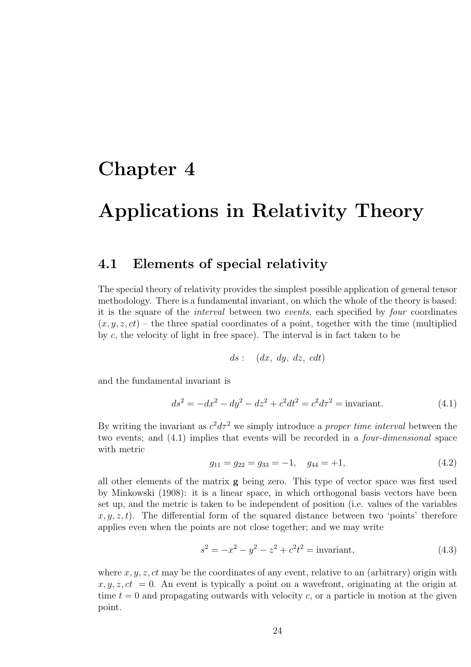## Chapter 4

# Applications in Relativity Theory

#### 4.1 Elements of special relativity

The special theory of relativity provides the simplest possible application of general tensor methodology. There is a fundamental invariant, on which the whole of the theory is based: it is the square of the interval between two events, each specified by four coordinates  $(x, y, z, ct)$  – the three spatial coordinates of a point, together with the time (multiplied by c, the velocity of light in free space). The interval is in fact taken to be

$$
ds: \quad (dx, dy, dz, cdt)
$$

and the fundamental invariant is

$$
ds^{2} = -dx^{2} - dy^{2} - dz^{2} + c^{2}dt^{2} = c^{2}d\tau^{2} = \text{invariant.}
$$
 (4.1)

By writing the invariant as  $c^2 d\tau^2$  we simply introduce a *proper time interval* between the two events; and (4.1) implies that events will be recorded in a four-dimensional space with metric

$$
g_{11} = g_{22} = g_{33} = -1, \quad g_{44} = +1,\tag{4.2}
$$

all other elements of the matrix g being zero. This type of vector space was first used by Minkowski (1908): it is a linear space, in which orthogonal basis vectors have been set up, and the metric is taken to be independent of position (i.e. values of the variables  $x, y, z, t$ . The differential form of the squared distance between two 'points' therefore applies even when the points are not close together; and we may write

$$
s^2 = -x^2 - y^2 - z^2 + c^2 t^2 = \text{invariant},\tag{4.3}
$$

where  $x, y, z, ct$  may be the coordinates of any event, relative to an (arbitrary) origin with  $x, y, z, ct = 0$ . An event is typically a point on a wavefront, originating at the origin at time  $t = 0$  and propagating outwards with velocity c, or a particle in motion at the given point.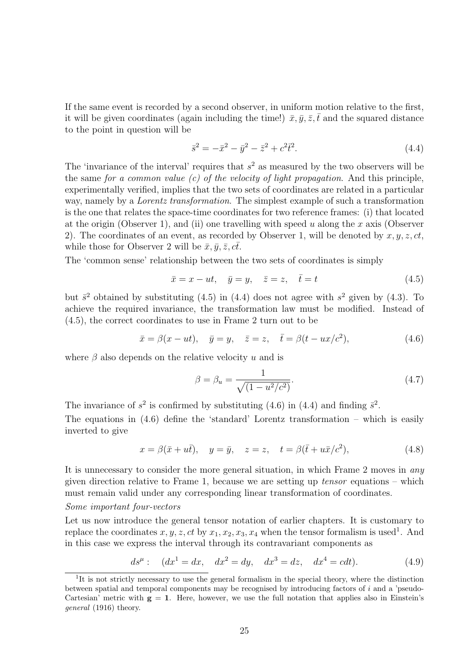If the same event is recorded by a second observer, in uniform motion relative to the first, it will be given coordinates (again including the time!)  $\bar{x}, \bar{y}, \bar{z}, \bar{t}$  and the squared distance to the point in question will be

$$
\bar{s}^2 = -\bar{x}^2 - \bar{y}^2 - \bar{z}^2 + c^2 \bar{t}^2. \tag{4.4}
$$

The 'invariance of the interval' requires that  $s^2$  as measured by the two observers will be the same for a common value  $(c)$  of the velocity of light propagation. And this principle, experimentally verified, implies that the two sets of coordinates are related in a particular way, namely by a *Lorentz transformation*. The simplest example of such a transformation is the one that relates the space-time coordinates for two reference frames: (i) that located at the origin (Observer 1), and (ii) one travelling with speed u along the x axis (Observer 2). The coordinates of an event, as recorded by Observer 1, will be denoted by  $x, y, z, ct$ , while those for Observer 2 will be  $\bar{x}, \bar{y}, \bar{z}, c\bar{t}$ .

The 'common sense' relationship between the two sets of coordinates is simply

$$
\bar{x} = x - ut, \quad \bar{y} = y, \quad \bar{z} = z, \quad \bar{t} = t \tag{4.5}
$$

but  $\bar{s}^2$  obtained by substituting (4.5) in (4.4) does not agree with  $s^2$  given by (4.3). To achieve the required invariance, the transformation law must be modified. Instead of (4.5), the correct coordinates to use in Frame 2 turn out to be

$$
\bar{x} = \beta(x - ut), \quad \bar{y} = y, \quad \bar{z} = z, \quad \bar{t} = \beta(t - ux/c^2),
$$
\n(4.6)

where  $\beta$  also depends on the relative velocity u and is

$$
\beta = \beta_u = \frac{1}{\sqrt{(1 - u^2/c^2)}}.
$$
\n(4.7)

The invariance of  $s^2$  is confirmed by substituting (4.6) in (4.4) and finding  $\bar{s}^2$ . The equations in  $(4.6)$  define the 'standard' Lorentz transformation – which is easily inverted to give

$$
x = \beta(\bar{x} + u\bar{t}), \quad y = \bar{y}, \quad z = z, \quad t = \beta(\bar{t} + u\bar{x}/c^2),
$$
 (4.8)

It is unnecessary to consider the more general situation, in which Frame 2 moves in any given direction relative to Frame 1, because we are setting up  $tensor$  equations – which must remain valid under any corresponding linear transformation of coordinates.

#### Some important four-vectors

Let us now introduce the general tensor notation of earlier chapters. It is customary to replace the coordinates  $x, y, z, ct$  by  $x_1, x_2, x_3, x_4$  when the tensor formalism is used<sup>1</sup>. And in this case we express the interval through its contravariant components as

$$
ds^{\mu}
$$
:  $(dx^1 = dx, dx^2 = dy, dx^3 = dz, dx^4 = cdt).$  (4.9)

<sup>&</sup>lt;sup>1</sup>It is not strictly necessary to use the general formalism in the special theory, where the distinction between spatial and temporal components may be recognised by introducing factors of  $i$  and a 'pseudo-Cartesian' metric with  $g = 1$ . Here, however, we use the full notation that applies also in Einstein's general (1916) theory.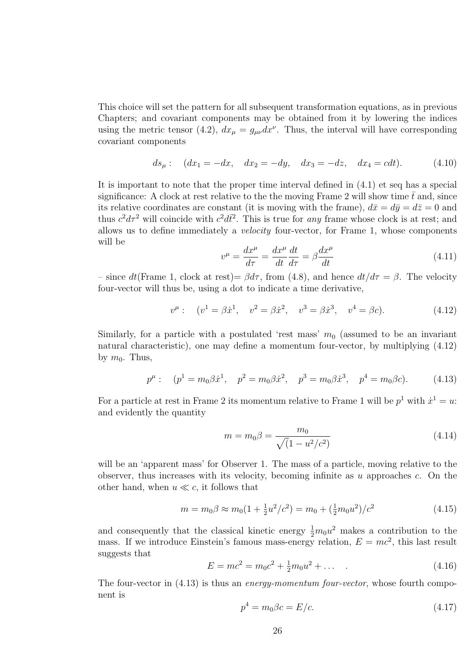This choice will set the pattern for all subsequent transformation equations, as in previous Chapters; and covariant components may be obtained from it by lowering the indices using the metric tensor (4.2),  $dx_{\mu} = g_{\mu\nu} dx^{\nu}$ . Thus, the interval will have corresponding covariant components

$$
ds_{\mu}
$$
:  $(dx_1 = -dx, dx_2 = -dy, dx_3 = -dz, dx_4 = cdt).$  (4.10)

It is important to note that the proper time interval defined in (4.1) et seq has a special significance: A clock at rest relative to the the moving Frame 2 will show time  $\bar{t}$  and, since its relative coordinates are constant (it is moving with the frame),  $d\bar{x} = d\bar{y} = d\bar{z} = 0$  and thus  $c^2 d\tau^2$  will coincide with  $c^2 d\bar{t}^2$ . This is true for any frame whose clock is at rest; and allows us to define immediately a velocity four-vector, for Frame 1, whose components will be

$$
v^{\mu} = \frac{dx^{\mu}}{d\tau} = \frac{dx^{\mu}}{dt}\frac{dt}{d\tau} = \beta \frac{dx^{\mu}}{dt}
$$
\n(4.11)

– since dt(Frame 1, clock at rest)=  $\beta d\tau$ , from (4.8), and hence  $dt/d\tau = \beta$ . The velocity four-vector will thus be, using a dot to indicate a time derivative,

$$
v^{\mu}: \quad (v^{1} = \beta \dot{x}^{1}, \quad v^{2} = \beta \dot{x}^{2}, \quad v^{3} = \beta \dot{x}^{3}, \quad v^{4} = \beta c). \tag{4.12}
$$

Similarly, for a particle with a postulated 'rest mass'  $m_0$  (assumed to be an invariant natural characteristic), one may define a momentum four-vector, by multiplying (4.12) by  $m_0$ . Thus,

$$
p^{\mu}: \quad (p^1 = m_0 \beta \dot{x}^1, \quad p^2 = m_0 \beta \dot{x}^2, \quad p^3 = m_0 \beta \dot{x}^3, \quad p^4 = m_0 \beta c). \tag{4.13}
$$

For a particle at rest in Frame 2 its momentum relative to Frame 1 will be  $p<sup>1</sup>$  with  $\dot{x}^1 = u$ : and evidently the quantity

$$
m = m_0 \beta = \frac{m_0}{\sqrt{(1 - u^2/c^2)}}
$$
(4.14)

will be an 'apparent mass' for Observer 1. The mass of a particle, moving relative to the observer, thus increases with its velocity, becoming infinite as  $u$  approaches  $c$ . On the other hand, when  $u \ll c$ , it follows that

$$
m = m_0 \beta \approx m_0 \left(1 + \frac{1}{2} u^2/c^2\right) = m_0 + \left(\frac{1}{2} m_0 u^2\right)/c^2 \tag{4.15}
$$

and consequently that the classical kinetic energy  $\frac{1}{2}m_0u^2$  makes a contribution to the mass. If we introduce Einstein's famous mass-energy relation,  $E = mc^2$ , this last result suggests that

$$
E = mc^2 = m_0 c^2 + \frac{1}{2} m_0 u^2 + \dots
$$
 (4.16)

The four-vector in  $(4.13)$  is thus an *energy-momentum four-vector*, whose fourth component is

$$
p^4 = m_0 \beta c = E/c.
$$
 (4.17)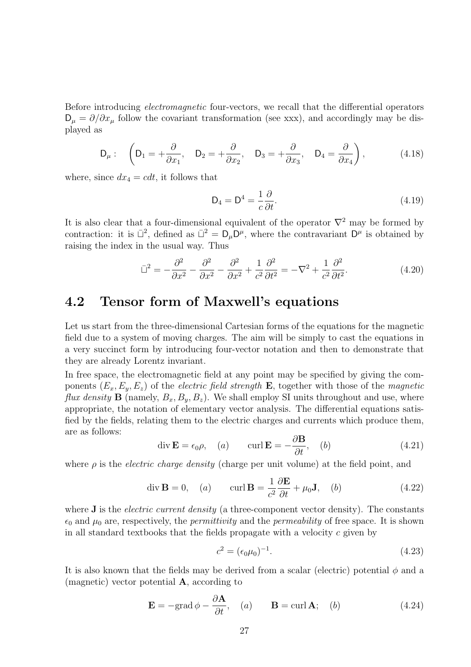Before introducing electromagnetic four-vectors, we recall that the differential operators  $D_{\mu} = \partial/\partial x_{\mu}$  follow the covariant transformation (see xxx), and accordingly may be displayed as

$$
\mathsf{D}_{\mu}:\quad\left(\mathsf{D}_{1}=+\frac{\partial}{\partial x_{1}},\quad\mathsf{D}_{2}=+\frac{\partial}{\partial x_{2}},\quad\mathsf{D}_{3}=+\frac{\partial}{\partial x_{3}},\quad\mathsf{D}_{4}=\frac{\partial}{\partial x_{4}}\right),\tag{4.18}
$$

where, since  $dx_4 = cdt$ , it follows that

$$
D_4 = D^4 = \frac{1}{c} \frac{\partial}{\partial t}.
$$
\n(4.19)

It is also clear that a four-dimensional equivalent of the operator  $\nabla^2$  may be formed by contraction: it is  $\bar{\mathbb{L}}^2$ , defined as  $\bar{\mathbb{L}}^2 = D_\mu D^\mu$ , where the contravariant  $D^\mu$  is obtained by raising the index in the usual way. Thus

$$
\bar{\Box}^2 = -\frac{\partial^2}{\partial x^2} - \frac{\partial^2}{\partial x^2} - \frac{\partial^2}{\partial x^2} + \frac{1}{c^2} \frac{\partial^2}{\partial t^2} = -\nabla^2 + \frac{1}{c^2} \frac{\partial^2}{\partial t^2}.
$$
\n(4.20)

### 4.2 Tensor form of Maxwell's equations

Let us start from the three-dimensional Cartesian forms of the equations for the magnetic field due to a system of moving charges. The aim will be simply to cast the equations in a very succinct form by introducing four-vector notation and then to demonstrate that they are already Lorentz invariant.

In free space, the electromagnetic field at any point may be specified by giving the components  $(E_x, E_y, E_z)$  of the *electric field strength* **E**, together with those of the *magnetic* flux density **B** (namely,  $B_x, B_y, B_z$ ). We shall employ SI units throughout and use, where appropriate, the notation of elementary vector analysis. The differential equations satisfied by the fields, relating them to the electric charges and currents which produce them, are as follows:

$$
\operatorname{div} \mathbf{E} = \epsilon_0 \rho, \quad (a) \qquad \operatorname{curl} \mathbf{E} = -\frac{\partial \mathbf{B}}{\partial t}, \quad (b) \tag{4.21}
$$

where  $\rho$  is the *electric charge density* (charge per unit volume) at the field point, and

$$
\operatorname{div} \mathbf{B} = 0, \quad (a) \qquad \operatorname{curl} \mathbf{B} = \frac{1}{c^2} \frac{\partial \mathbf{E}}{\partial t} + \mu_0 \mathbf{J}, \quad (b) \tag{4.22}
$$

where  $J$  is the *electric current density* (a three-component vector density). The constants  $\epsilon_0$  and  $\mu_0$  are, respectively, the *permittivity* and the *permeability* of free space. It is shown in all standard textbooks that the fields propagate with a velocity  $c$  given by

$$
c^2 = (\epsilon_0 \mu_0)^{-1}.
$$
\n(4.23)

It is also known that the fields may be derived from a scalar (electric) potential  $\phi$  and a (magnetic) vector potential A, according to

$$
\mathbf{E} = -\text{grad}\,\phi - \frac{\partial \mathbf{A}}{\partial t}, \quad (a) \qquad \mathbf{B} = \text{curl}\,\mathbf{A}; \quad (b) \tag{4.24}
$$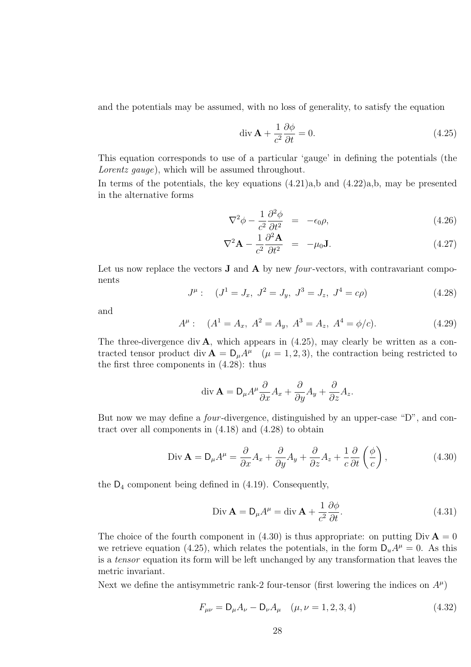and the potentials may be assumed, with no loss of generality, to satisfy the equation

$$
\operatorname{div} \mathbf{A} + \frac{1}{c^2} \frac{\partial \phi}{\partial t} = 0. \tag{4.25}
$$

This equation corresponds to use of a particular 'gauge' in defining the potentials (the Lorentz gauge), which will be assumed throughout.

In terms of the potentials, the key equations  $(4.21)a$ ,b and  $(4.22)a$ ,b, may be presented in the alternative forms

$$
\nabla^2 \phi - \frac{1}{c^2} \frac{\partial^2 \phi}{\partial t^2} = -\epsilon_0 \rho, \qquad (4.26)
$$

$$
\nabla^2 \mathbf{A} - \frac{1}{c^2} \frac{\partial^2 \mathbf{A}}{\partial t^2} = -\mu_0 \mathbf{J}.
$$
 (4.27)

Let us now replace the vectors  $J$  and  $A$  by new *four-vectors*, with contravariant components

$$
J^{\mu}: \quad (J^{1} = J_{x}, J^{2} = J_{y}, J^{3} = J_{z}, J^{4} = c\rho) \tag{4.28}
$$

and

$$
A^{\mu}: (A^{1} = A_{x}, A^{2} = A_{y}, A^{3} = A_{z}, A^{4} = \phi/c).
$$
 (4.29)

The three-divergence div  $\bf{A}$ , which appears in (4.25), may clearly be written as a contracted tensor product div  $\mathbf{A} = \mathsf{D}_{\mu} A^{\mu}$  ( $\mu = 1, 2, 3$ ), the contraction being restricted to the first three components in (4.28): thus

$$
\operatorname{div} \mathbf{A} = \mathsf{D}_{\mu} A^{\mu} \frac{\partial}{\partial x} A_x + \frac{\partial}{\partial y} A_y + \frac{\partial}{\partial z} A_z.
$$

But now we may define a *four*-divergence, distinguished by an upper-case "D", and contract over all components in (4.18) and (4.28) to obtain

Div 
$$
\mathbf{A} = \mathbf{D}_{\mu} A^{\mu} = \frac{\partial}{\partial x} A_x + \frac{\partial}{\partial y} A_y + \frac{\partial}{\partial z} A_z + \frac{1}{c} \frac{\partial}{\partial t} \left( \frac{\phi}{c} \right),
$$
 (4.30)

the  $D_4$  component being defined in  $(4.19)$ . Consequently,

$$
\text{Div } \mathbf{A} = \mathsf{D}_{\mu} A^{\mu} = \text{div } \mathbf{A} + \frac{1}{c^2} \frac{\partial \phi}{\partial t}.
$$
 (4.31)

The choice of the fourth component in (4.30) is thus appropriate: on putting  $Div \mathbf{A} = 0$ we retrieve equation (4.25), which relates the potentials, in the form  $D_u A^{\mu} = 0$ . As this is a tensor equation its form will be left unchanged by any transformation that leaves the metric invariant.

Next we define the antisymmetric rank-2 four-tensor (first lowering the indices on  $A^{\mu}$ )

$$
F_{\mu\nu} = \mathsf{D}_{\mu}A_{\nu} - \mathsf{D}_{\nu}A_{\mu} \quad (\mu, \nu = 1, 2, 3, 4)
$$
 (4.32)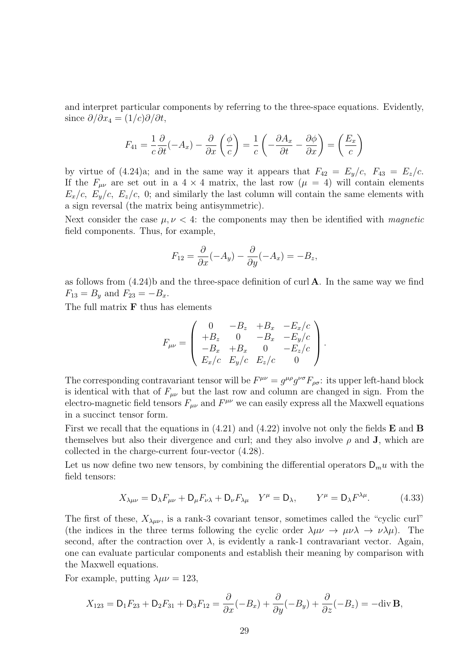and interpret particular components by referring to the three-space equations. Evidently, since  $\partial/\partial x_4 = (1/c)\partial/\partial t$ ,

$$
F_{41} = \frac{1}{c} \frac{\partial}{\partial t} (-A_x) - \frac{\partial}{\partial x} \left( \frac{\phi}{c} \right) = \frac{1}{c} \left( -\frac{\partial A_x}{\partial t} - \frac{\partial \phi}{\partial x} \right) = \left( \frac{E_x}{c} \right)
$$

by virtue of  $(4.24)$ a; and in the same way it appears that  $F_{42} = E_y/c$ ,  $F_{43} = E_z/c$ . If the  $F_{\mu\nu}$  are set out in a 4 × 4 matrix, the last row ( $\mu = 4$ ) will contain elements  $E_x/c$ ,  $E_y/c$ ,  $E_z/c$ , 0; and similarly the last column will contain the same elements with a sign reversal (the matrix being antisymmetric).

Next consider the case  $\mu, \nu < 4$ : the components may then be identified with *magnetic* field components. Thus, for example,

$$
F_{12} = \frac{\partial}{\partial x}(-A_y) - \frac{\partial}{\partial y}(-A_x) = -B_z,
$$

as follows from  $(4.24)$ b and the three-space definition of curl **A**. In the same way we find  $F_{13} = B_y$  and  $F_{23} = -B_x$ .

The full matrix  **thus has elements** 

$$
F_{\mu\nu} = \begin{pmatrix} 0 & -B_z & +B_x & -E_x/c \\ +B_z & 0 & -B_x & -E_y/c \\ -B_x & +B_x & 0 & -E_z/c \\ E_x/c & E_y/c & E_z/c & 0 \end{pmatrix}.
$$

The corresponding contravariant tensor will be  $F^{\mu\nu} = g^{\mu\rho} g^{\nu\sigma} F_{\rho\sigma}$ : its upper left-hand block is identical with that of  $F_{\mu\nu}$  but the last row and column are changed in sign. From the electro-magnetic field tensors  $F_{\mu\nu}$  and  $F^{\mu\nu}$  we can easily express all the Maxwell equations in a succinct tensor form.

First we recall that the equations in  $(4.21)$  and  $(4.22)$  involve not only the fields **E** and **B** themselves but also their divergence and curl; and they also involve  $\rho$  and **J**, which are collected in the charge-current four-vector (4.28).

Let us now define two new tensors, by combining the differential operators  $D_m u$  with the field tensors:

$$
X_{\lambda\mu\nu} = \mathsf{D}_{\lambda}F_{\mu\nu} + \mathsf{D}_{\mu}F_{\nu\lambda} + \mathsf{D}_{\nu}F_{\lambda\mu} \quad Y^{\mu} = \mathsf{D}_{\lambda}, \qquad Y^{\mu} = \mathsf{D}_{\lambda}F^{\lambda\mu}.
$$
 (4.33)

The first of these,  $X_{\lambda\mu\nu}$ , is a rank-3 covariant tensor, sometimes called the "cyclic curl" (the indices in the three terms following the cyclic order  $\lambda \mu \nu \rightarrow \mu \nu \lambda \rightarrow \nu \lambda \mu$ ). The second, after the contraction over  $\lambda$ , is evidently a rank-1 contravariant vector. Again, one can evaluate particular components and establish their meaning by comparison with the Maxwell equations.

For example, putting  $\lambda \mu \nu = 123$ ,

$$
X_{123} = \mathsf{D}_1 F_{23} + \mathsf{D}_2 F_{31} + \mathsf{D}_3 F_{12} = \frac{\partial}{\partial x} (-B_x) + \frac{\partial}{\partial y} (-B_y) + \frac{\partial}{\partial z} (-B_z) = -\text{div } \mathbf{B},
$$